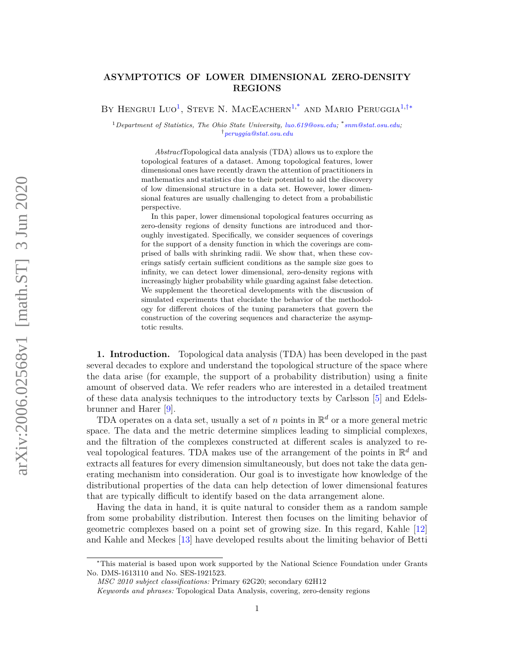# <span id="page-0-4"></span>**ASYMPTOTICS OF LOWER DIMENSIONAL ZERO-DENSITY REGIONS**

BY HENGRUI LUO<sup>[1](#page-0-0)</sup>, STEVE N. MACEACHERN<sup>1[,\\*](#page-0-1)</sup> AND MARIO PERUGGIA<sup>1[,†](#page-0-2)\*</sup>

<span id="page-0-0"></span><sup>1</sup>*Department of Statistics, The Ohio State University, [luo.619@osu.edu;](mailto:luo.619@osu.edu)* \* *[snm@stat.osu.edu;](mailto:snm@stat.osu.edu)* †*[peruggia@stat.osu.edu](mailto:peruggia@stat.osu.edu)*

<span id="page-0-2"></span><span id="page-0-1"></span>*Abstract*Topological data analysis (TDA) allows us to explore the topological features of a dataset. Among topological features, lower dimensional ones have recently drawn the attention of practitioners in mathematics and statistics due to their potential to aid the discovery of low dimensional structure in a data set. However, lower dimensional features are usually challenging to detect from a probabilistic perspective.

In this paper, lower dimensional topological features occurring as zero-density regions of density functions are introduced and thoroughly investigated. Specifically, we consider sequences of coverings for the support of a density function in which the coverings are comprised of balls with shrinking radii. We show that, when these coverings satisfy certain sufficient conditions as the sample size goes to infinity, we can detect lower dimensional, zero-density regions with increasingly higher probability while guarding against false detection. We supplement the theoretical developments with the discussion of simulated experiments that elucidate the behavior of the methodology for different choices of the tuning parameters that govern the construction of the covering sequences and characterize the asymptotic results.

**1. Introduction.** Topological data analysis (TDA) has been developed in the past several decades to explore and understand the topological structure of the space where the data arise (for example, the support of a probability distribution) using a finite amount of observed data. We refer readers who are interested in a detailed treatment of these data analysis techniques to the introductory texts by Carlsson [\[5\]](#page-27-0) and Edelsbrunner and Harer [\[9\]](#page-27-1).

TDA operates on a data set, usually a set of *n* points in  $\mathbb{R}^d$  or a more general metric space. The data and the metric determine simplices leading to simplicial complexes, and the filtration of the complexes constructed at different scales is analyzed to reveal topological features. TDA makes use of the arrangement of the points in R *<sup>d</sup>* and extracts all features for every dimension simultaneously, but does not take the data generating mechanism into consideration. Our goal is to investigate how knowledge of the distributional properties of the data can help detection of lower dimensional features that are typically difficult to identify based on the data arrangement alone.

Having the data in hand, it is quite natural to consider them as a random sample from some probability distribution. Interest then focuses on the limiting behavior of geometric complexes based on a point set of growing size. In this regard, Kahle [\[12\]](#page-27-2) and Kahle and Meckes [\[13\]](#page-27-3) have developed results about the limiting behavior of Betti

<span id="page-0-3"></span><sup>∗</sup>This material is based upon work supported by the National Science Foundation under Grants No. DMS-1613110 and No. SES-1921523.

*MSC 2010 subject classifications:* Primary 62G20; secondary 62H12

*Keywords and phrases:* Topological Data Analysis, covering, zero-density regions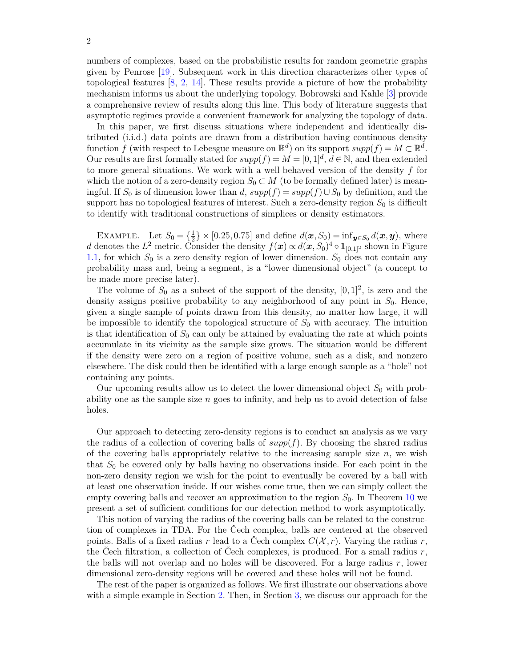In this paper, we first discuss situations where independent and identically distributed (i.i.d.) data points are drawn from a distribution having continuous density function  $f$  (with respect to Lebesgue measure on  $\mathbb{R}^d$ ) on its support  $supp(f) = M \subset \mathbb{R}^d$ . Our results are first formally stated for  $supp(f) = M = [0, 1]^d$ ,  $d \in \mathbb{N}$ , and then extended to more general situations. We work with a well-behaved version of the density *f* for which the notion of a zero-density region  $S_0 \subset M$  (to be formally defined later) is meaningful. If  $S_0$  is of dimension lower than *d*,  $supp(f) = supp(f) \cup S_0$  by definition, and the support has no topological features of interest. Such a zero-density region *S*<sup>0</sup> is difficult to identify with traditional constructions of simplices or density estimators.

EXAMPLE. Let  $S_0 = \{\frac{1}{2}\}$  $\frac{1}{2}$ } × [0.25, 0.75] and define  $d(\mathbf{x}, S_0) = \inf_{\mathbf{y} \in S_0} d(\mathbf{x}, \mathbf{y})$ , where *d* denotes the  $L^2$  metric. Consider the density  $f(x) \propto d(x, S_0)^4 \circ \mathbf{1}_{[0,1]^2}$  shown in Figure [1.1,](#page-2-0) for which  $S_0$  is a zero density region of lower dimension.  $S_0$  does not contain any probability mass and, being a segment, is a "lower dimensional object" (a concept to be made more precise later).

The volume of  $S_0$  as a subset of the support of the density,  $[0,1]^2$ , is zero and the density assigns positive probability to any neighborhood of any point in  $S_0$ . Hence, given a single sample of points drawn from this density, no matter how large, it will be impossible to identify the topological structure of *S*<sup>0</sup> with accuracy. The intuition is that identification of  $S_0$  can only be attained by evaluating the rate at which points accumulate in its vicinity as the sample size grows. The situation would be different if the density were zero on a region of positive volume, such as a disk, and nonzero elsewhere. The disk could then be identified with a large enough sample as a "hole" not containing any points.

Our upcoming results allow us to detect the lower dimensional object  $S_0$  with probability one as the sample size *n* goes to infinity, and help us to avoid detection of false holes.

Our approach to detecting zero-density regions is to conduct an analysis as we vary the radius of a collection of covering balls of  $supp(f)$ . By choosing the shared radius of the covering balls appropriately relative to the increasing sample size *n*, we wish that *S*<sup>0</sup> be covered only by balls having no observations inside. For each point in the non-zero density region we wish for the point to eventually be covered by a ball with at least one observation inside. If our wishes come true, then we can simply collect the empty covering balls and recover an approximation to the region *S*0. In Theorem [10](#page-10-0) we present a set of sufficient conditions for our detection method to work asymptotically.

This notion of varying the radius of the covering balls can be related to the construction of complexes in TDA. For the Čech complex, balls are centered at the observed points. Balls of a fixed radius *r* lead to a Čech complex  $C(\mathcal{X}, r)$ . Varying the radius *r*, the Čech filtration, a collection of Čech complexes, is produced. For a small radius *r*, the balls will not overlap and no holes will be discovered. For a large radius *r*, lower dimensional zero-density regions will be covered and these holes will not be found.

The rest of the paper is organized as follows. We first illustrate our observations above with a simple example in Section [2.](#page-2-1) Then, in Section [3,](#page-3-0) we discuss our approach for the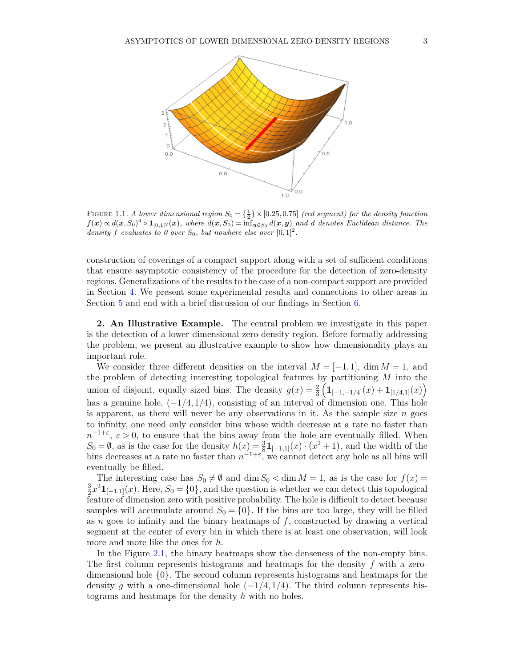

<span id="page-2-0"></span>FIGURE 1.1. A lower dimensional region  $S_0 = \{\frac{1}{2}\}\times [0.25, 0.75]$  (red segment) for the density function  $f(\boldsymbol{x}) \propto d(\boldsymbol{x}, S_0)^4 \circ \boldsymbol{1}_{[0,1]^2}(\boldsymbol{x}),$  where  $d(\boldsymbol{x}, S_0) = \inf_{\boldsymbol{y} \in S_0} d(\boldsymbol{x}, \boldsymbol{y})$  and d denotes Euclidean distance. The *density f evaluates to 0 over*  $S_0$ *, but nowhere else over*  $[0,1]^2$ *.* 

construction of coverings of a compact support along with a set of sufficient conditions that ensure asymptotic consistency of the procedure for the detection of zero-density regions. Generalizations of the results to the case of a non-compact support are provided in Section [4.](#page-11-0) We present some experimental results and connections to other areas in Section [5](#page-19-0) and end with a brief discussion of our findings in Section [6.](#page-22-0)

<span id="page-2-1"></span>**2. An Illustrative Example.** The central problem we investigate in this paper is the detection of a lower dimensional zero-density region. Before formally addressing the problem, we present an illustrative example to show how dimensionality plays an important role.

We consider three different densities on the interval  $M = [-1, 1]$ , dim  $M = 1$ , and the problem of detecting interesting topological features by partitioning *M* into the union of disjoint, equally sized bins. The density  $g(x) = \frac{2}{3} \left( \mathbf{1}_{[-1,-1/4]}(x) + \mathbf{1}_{[1/4,1]}(x) \right)$ has a genuine hole, (−1*/*4*,* 1*/*4), consisting of an interval of dimension one. This hole is apparent, as there will never be any observations in it. As the sample size  $n$  goes to infinity, one need only consider bins whose width decrease at a rate no faster than  $n^{-1+\varepsilon}, \varepsilon > 0$ , to ensure that the bins away from the hole are eventually filled. When *S*<sub>0</sub> = ∅, as is the case for the density  $h(x) = \frac{3}{8}$ **1**<sub>[−1,1]</sub>(*x*) · (*x*<sup>2</sup> + 1), and the width of the bins decreases at a rate no faster than  $n^{-1+\epsilon}$ , we cannot detect any hole as all bins will eventually be filled.

The interesting case has  $S_0 \neq \emptyset$  and dim  $S_0 < \dim M = 1$ , as is the case for  $f(x) =$ 3  $\frac{3}{2}x^2\mathbf{1}_{[-1,1]}(x)$ . Here,  $S_0 = \{0\}$ , and the question is whether we can detect this topological feature of dimension zero with positive probability. The hole is difficult to detect because samples will accumulate around  $S_0 = \{0\}$ . If the bins are too large, they will be filled as *n* goes to infinity and the binary heatmaps of *f*, constructed by drawing a vertical segment at the center of every bin in which there is at least one observation, will look more and more like the ones for *h*.

In the Figure [2.1,](#page-3-1) the binary heatmaps show the denseness of the non-empty bins. The first column represents histograms and heatmaps for the density *f* with a zerodimensional hole {0}. The second column represents histograms and heatmaps for the density *g* with a one-dimensional hole  $(-1/4, 1/4)$ . The third column represents histograms and heatmaps for the density *h* with no holes.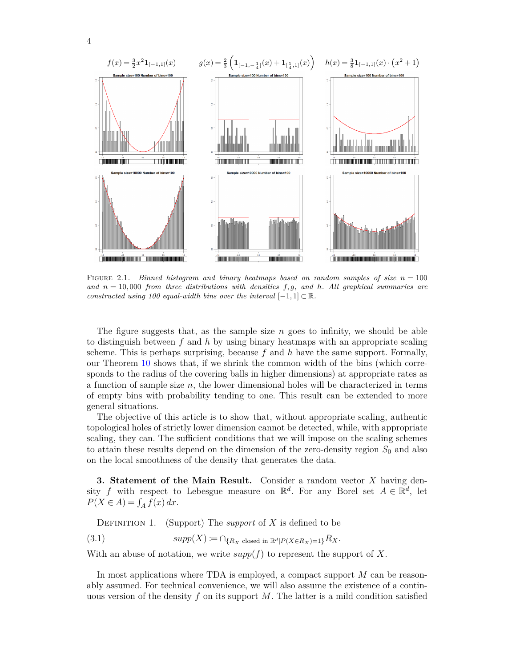

<span id="page-3-1"></span>FIGURE 2.1. Binned histogram and binary heatmaps based on random samples of size  $n = 100$ *and n* = 10*,* 000 *from three distributions with densities f, g, and h. All graphical summaries are constructed using 100 equal-width bins over the interval*  $[-1,1] \subset \mathbb{R}$ *.* 

The figure suggests that, as the sample size *n* goes to infinity, we should be able to distinguish between *f* and *h* by using binary heatmaps with an appropriate scaling scheme. This is perhaps surprising, because *f* and *h* have the same support. Formally, our Theorem [10](#page-10-0) shows that, if we shrink the common width of the bins (which corresponds to the radius of the covering balls in higher dimensions) at appropriate rates as a function of sample size *n*, the lower dimensional holes will be characterized in terms of empty bins with probability tending to one. This result can be extended to more general situations.

The objective of this article is to show that, without appropriate scaling, authentic topological holes of strictly lower dimension cannot be detected, while, with appropriate scaling, they can. The sufficient conditions that we will impose on the scaling schemes to attain these results depend on the dimension of the zero-density region *S*<sup>0</sup> and also on the local smoothness of the density that generates the data.

<span id="page-3-0"></span>**3. Statement of the Main Result.** Consider a random vector *X* having density *f* with respect to Lebesgue measure on  $\mathbb{R}^d$ . For any Borel set  $A \in \mathbb{R}^d$ , let  $P(X \in A) = \int_A f(x) dx$ .

DEFINITION 1. (Support) The *support* of X is defined to be

 $supp(X) := \bigcap_{\{R_X \text{ closed in } \mathbb{R}^d | P(X \in R_X) = 1\}} R_X$ .

With an abuse of notation, we write  $supp(f)$  to represent the support of X.

In most applications where TDA is employed, a compact support *M* can be reasonably assumed. For technical convenience, we will also assume the existence of a continuous version of the density *f* on its support *M*. The latter is a mild condition satisfied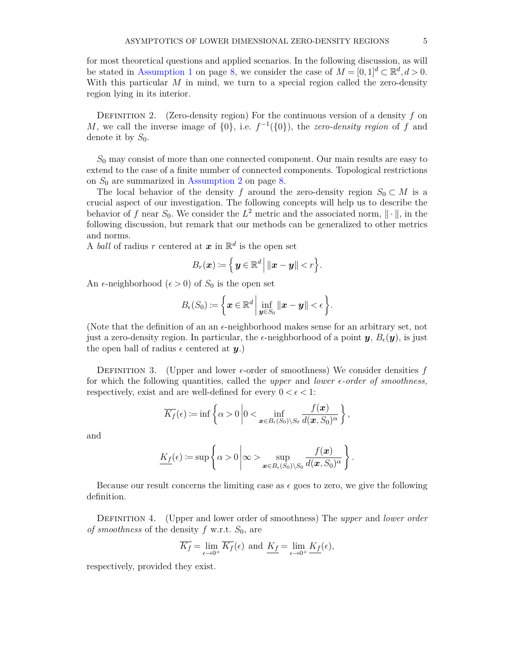for most theoretical questions and applied scenarios. In the following discussion, as will be stated in [Assumption 1](#page-7-0) on page [8,](#page-6-0) we consider the case of  $M = [0, 1]^d \subset \mathbb{R}^d, d > 0$ . With this particular *M* in mind, we turn to a special region called the zero-density region lying in its interior.

Definition 2. (Zero-density region) For the continuous version of a density *f* on *M*, we call the inverse image of  $\{0\}$ , i.e.  $f^{-1}(\{0\})$ , the *zero-density region* of *f* and denote it by  $S_0$ .

*S*<sup>0</sup> may consist of more than one connected component. Our main results are easy to extend to the case of a finite number of connected components. Topological restrictions on *S*<sup>0</sup> are summarized in [Assumption 2](#page-7-1) on page [8.](#page-6-0)

The local behavior of the density *f* around the zero-density region  $S_0 \subset M$  is a crucial aspect of our investigation. The following concepts will help us to describe the behavior of *f* near  $S_0$ . We consider the  $L^2$  metric and the associated norm,  $\|\cdot\|$ , in the following discussion, but remark that our methods can be generalized to other metrics and norms.

A *ball* of radius r centered at  $x$  in  $\mathbb{R}^d$  is the open set

$$
B_r(\boldsymbol{x}) \coloneqq \left\{ \left. \boldsymbol{y} \in \mathbb{R}^d \right| \|\boldsymbol{x} - \boldsymbol{y}\| < r \right\}.
$$

An  $\epsilon$ -neighborhood ( $\epsilon > 0$ ) of  $S_0$  is the open set

$$
B_{\epsilon}(S_0) := \left\{ \boldsymbol{x} \in \mathbb{R}^d \, \middle| \, \inf_{\boldsymbol{y} \in S_0} \|\boldsymbol{x} - \boldsymbol{y}\| < \epsilon \right\}.
$$

(Note that the definition of an an  $\epsilon$ -neighborhood makes sense for an arbitrary set, not just a zero-density region. In particular, the  $\epsilon$ -neighborhood of a point  $\mathbf{y}, B_{\epsilon}(\mathbf{y})$ , is just the open ball of radius  $\epsilon$  centered at  $\boldsymbol{\eta}$ .)

DEFINITION 3. (Upper and lower  $\epsilon$ -order of smoothness) We consider densities  $f$ for which the following quantities, called the *upper* and *lower*  $\epsilon$ -order of smoothness, respectively, exist and are well-defined for every  $0 < \epsilon < 1$ :

$$
\overline{K_f}(\epsilon) \coloneqq \inf \left\{ \alpha > 0 \left| 0 < \inf_{\boldsymbol{x} \in B_{\epsilon}(S_0) \setminus S_0} \frac{f(\boldsymbol{x})}{d(\boldsymbol{x}, S_0)^{\alpha}} \right. \right\},\,
$$

and

$$
\underline{K_f}(\epsilon) := \sup \left\{ \alpha > 0 \, \middle| \, \infty > \sup_{\boldsymbol{x} \in B_{\epsilon}(S_0) \setminus S_0} \frac{f(\boldsymbol{x})}{d(\boldsymbol{x}, S_0)^{\alpha}} \right\}
$$

*.*

Because our result concerns the limiting case as  $\epsilon$  goes to zero, we give the following definition.

<span id="page-4-0"></span>Definition 4. (Upper and lower order of smoothness) The *upper* and *lower order of smoothness* of the density *f* w.r.t. *S*0, are

$$
\overline{K_f} = \lim_{\epsilon \to 0^+} \overline{K_f}(\epsilon) \text{ and } \underline{K_f} = \lim_{\epsilon \to 0^+} \underline{K_f}(\epsilon),
$$

respectively, provided they exist.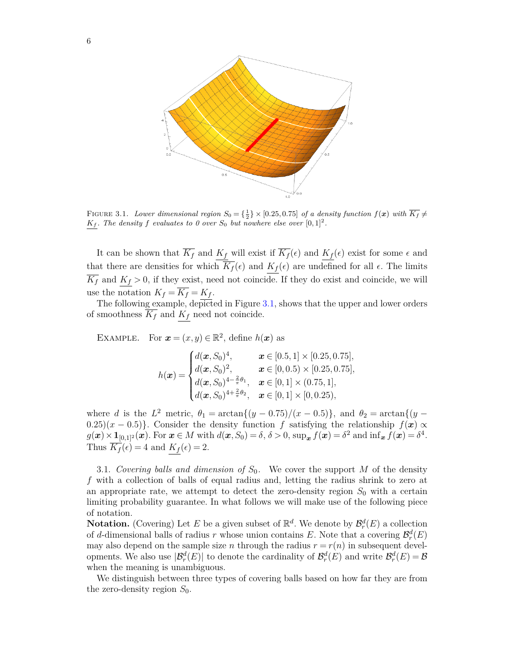

<span id="page-5-0"></span>FIGURE 3.1. Lower dimensional region  $S_0 = \{\frac{1}{2}\}\times[0.25, 0.75]$  of a density function  $f(x)$  with  $\overline{K_f} \neq$ *K*<sub>f</sub>. The density f evaluates to 0 over  $S_0$  but nowhere else over  $[0,1]^2$ .

It can be shown that  $\overline{K_f}$  and  $K_f$  will exist if  $\overline{K_f}(\epsilon)$  and  $K_f(\epsilon)$  exist for some  $\epsilon$  and that there are densities for which  $\overline{K_f}(\epsilon)$  and  $K_f(\epsilon)$  are undefined for all  $\epsilon$ . The limits  $\overline{K_f}$  and  $K_f > 0$ , if they exist, need not coincide. If they do exist and coincide, we will use the notation  $K_f = \overline{K_f} = K_f$ .

The following example, depicted in Figure [3.1,](#page-5-0) shows that the upper and lower orders of smoothness  $\overline{K_f}$  and  $K_f$  need not coincide.

EXAMPLE. For  $\mathbf{x} = (x, y) \in \mathbb{R}^2$ , define  $h(\mathbf{x})$  as

$$
h(\boldsymbol{x}) = \begin{cases} d(\boldsymbol{x}, S_0)^4, & \boldsymbol{x} \in [0.5, 1] \times [0.25, 0.75], \\ d(\boldsymbol{x}, S_0)^2, & \boldsymbol{x} \in [0, 0.5) \times [0.25, 0.75], \\ d(\boldsymbol{x}, S_0)^{4 - \frac{2}{\pi} \theta_1}, & \boldsymbol{x} \in [0, 1] \times (0.75, 1], \\ d(\boldsymbol{x}, S_0)^{4 + \frac{2}{\pi} \theta_2}, & \boldsymbol{x} \in [0, 1] \times [0, 0.25), \end{cases}
$$

where *d* is the  $L^2$  metric,  $\theta_1 = \arctan\{(y - 0.75)/(x - 0.5)\}$ , and  $\theta_2 = \arctan\{(y - 0.75)/(x - 0.5)\}$ 0.25)( $x - 0.5$ ). Consider the density function *f* satisfying the relationship  $f(x) \propto$  $g(\boldsymbol{x}) \times \mathbf{1}_{[0,1]^2}(\boldsymbol{x})$ . For  $\boldsymbol{x} \in M$  with  $d(\boldsymbol{x}, S_0) = \delta$ ,  $\delta > 0$ ,  $\sup_{\boldsymbol{x}} f(\boldsymbol{x}) = \delta^2$  and  $\inf_{\boldsymbol{x}} f(\boldsymbol{x}) = \delta^4$ . Thus  $\overline{K_f}(\epsilon) = 4$  and  $K_f(\epsilon) = 2$ .

3.1. *Covering balls and dimension of*  $S_0$ . We cover the support M of the density *f* with a collection of balls of equal radius and, letting the radius shrink to zero at an appropriate rate, we attempt to detect the zero-density region  $S_0$  with a certain limiting probability guarantee. In what follows we will make use of the following piece of notation.

**Notation.** (Covering) Let *E* be a given subset of  $\mathbb{R}^d$ . We denote by  $\mathcal{B}_r^d(E)$  a collection of *d*-dimensional balls of radius *r* whose union contains *E*. Note that a covering  $\mathcal{B}_r^d(E)$ may also depend on the sample size *n* through the radius  $r = r(n)$  in subsequent developments. We also use  $|\mathcal{B}_r^d(E)|$  to denote the cardinality of  $\mathcal{B}_r^d(E)$  and write  $\mathcal{B}_r^d(E) = \mathcal{B}$ when the meaning is unambiguous.

We distinguish between three types of covering balls based on how far they are from the zero-density region  $S_0$ .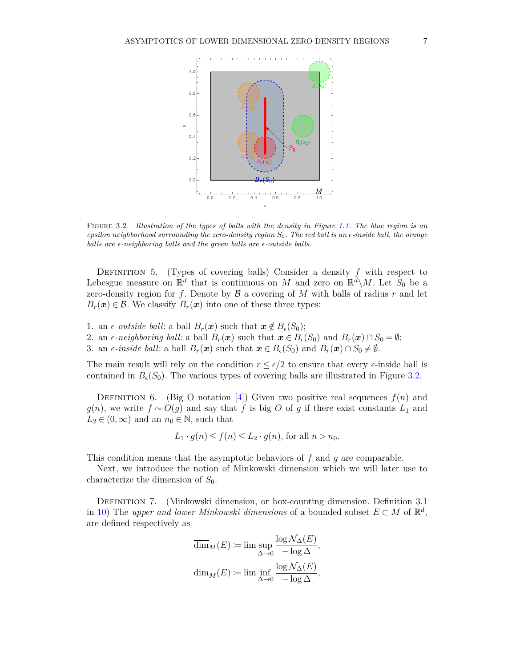

<span id="page-6-1"></span>Figure 3.2*. Illustration of the types of balls with the density in Figure [1.1.](#page-2-0) The blue region is an epsilon neighborhood surrounding the zero-density region S*0*. The red ball is an -inside ball, the orange balls are*  $\epsilon$ -neighboring balls and the green balls are  $\epsilon$ -outside balls.

DEFINITION 5. (Types of covering balls) Consider a density  $f$  with respect to Lebesgue measure on  $\mathbb{R}^d$  that is continuous on *M* and zero on  $\mathbb{R}^d\setminus M$ . Let  $S_0$  be a zero-density region for  $f$ . Denote by  $\mathcal B$  a covering of  $M$  with balls of radius  $r$  and let  $B_r(\mathbf{x}) \in \mathcal{B}$ . We classify  $B_r(\mathbf{x})$  into one of these three types:

- 1. an  $\epsilon$ -*outside ball*: a ball  $B_r(\mathbf{x})$  such that  $\mathbf{x} \notin B_{\epsilon}(S_0)$ ;
- 2. an  $\epsilon$ -neighboring ball: a ball  $B_r(\mathbf{x})$  such that  $\mathbf{x} \in B_{\epsilon}(S_0)$  and  $B_r(\mathbf{x}) \cap S_0 = \emptyset$ ;
- 3. an  $\epsilon$ -*inside ball*: a ball  $B_r(\mathbf{x})$  such that  $\mathbf{x} \in B_{\epsilon}(S_0)$  and  $B_r(\mathbf{x}) \cap S_0 \neq \emptyset$ .

The main result will rely on the condition  $r \leq \epsilon/2$  to ensure that every  $\epsilon$ -inside ball is contained in  $B_{\epsilon}(S_0)$ . The various types of covering balls are illustrated in Figure [3.2.](#page-6-1)

DEFINITION 6. (Big O notation  $[4]$ ) Given two positive real sequences  $f(n)$  and *g*(*n*), we write *f* ∼ *O*(*g*) and say that *f* is big *O* of *g* if there exist constants  $L_1$  and  $L_2 \in (0, \infty)$  and an  $n_0 \in \mathbb{N}$ , such that

$$
L_1 \cdot g(n) \le f(n) \le L_2 \cdot g(n)
$$
, for all  $n > n_0$ .

This condition means that the asymptotic behaviors of *f* and *g* are comparable.

Next, we introduce the notion of Minkowski dimension which we will later use to characterize the dimension of  $S_0$ .

<span id="page-6-0"></span>Definition 7. (Minkowski dimension, or box-counting dimension. Definition 3.1 in [10\)](#page-27-10) The *upper and lower Minkowski dimensions* of a bounded subset  $E \subset M$  of  $\mathbb{R}^d$ , are defined respectively as

$$
\overline{\dim}_M(E) := \limsup_{\Delta \to 0} \frac{\log \mathcal{N}_{\Delta}(E)}{-\log \Delta},
$$
  

$$
\underline{\dim}_M(E) := \liminf_{\Delta \to 0} \frac{\log \mathcal{N}_{\Delta}(E)}{-\log \Delta},
$$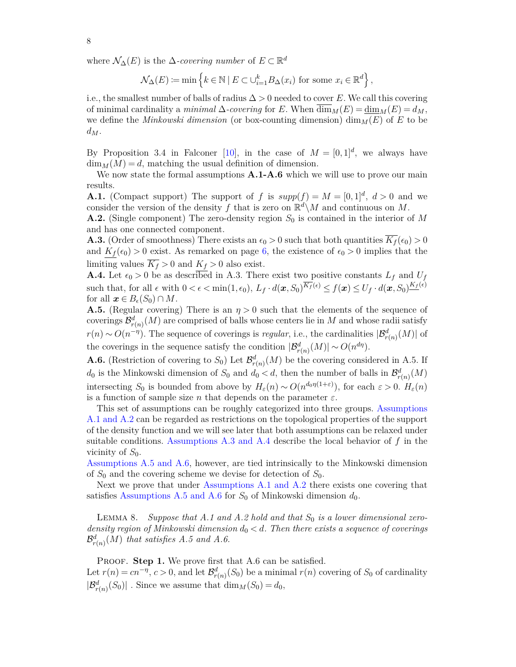where  $\mathcal{N}_{\Delta}(E)$  is the  $\Delta$ -covering number of  $E \subset \mathbb{R}^d$ 

<span id="page-7-2"></span>
$$
\mathcal{N}_{\Delta}(E) \coloneqq \min \left\{ k \in \mathbb{N} \mid E \subset \bigcup_{i=1}^{k} B_{\Delta}(x_i) \text{ for some } x_i \in \mathbb{R}^d \right\},\
$$

i.e., the smallest number of balls of radius  $\Delta > 0$  needed to cover *E*. We call this covering of minimal cardinality a *minimal*  $\Delta$ -covering for *E*. When  $\dim_M(E) = \dim_M(E) = d_M$ , we define the *Minkowski dimension* (or box-counting dimension)  $\dim_M(E)$  of *E* to be  $d_M$ .

By Proposition 3.4 in Falconer [\[10\]](#page-27-10), in the case of  $M = [0, 1]^d$ , we always have  $\dim_M(M) = d$ , matching the usual definition of dimension.

We now state the formal assumptions  $\mathbf{A.1\text{-}A.6}$  which we will use to prove our main results.

<span id="page-7-0"></span>**A.1.** (Compact support) The support of *f* is  $supp(f) = M = [0, 1]^d$ ,  $d > 0$  and we consider the version of the density f that is zero on  $\mathbb{R}^d \setminus M$  and continuous on M.

<span id="page-7-1"></span>**A.2.** (Single component) The zero-density region *S*<sup>0</sup> is contained in the interior of *M* and has one connected component.

<span id="page-7-4"></span>**A.3.** (Order of smoothness) There exists an  $\epsilon_0 > 0$  such that both quantities  $\overline{K_f}(\epsilon_0) > 0$ and  $K_f(\epsilon_0) > 0$  exist. As remarked on page [6,](#page-4-0) the existence of  $\epsilon_0 > 0$  implies that the limiting values  $\overline{K_f} > 0$  and  $K_f > 0$  also exist.

**A.4.** Let  $\epsilon_0 > 0$  be as described in A.3. There exist two positive constants  $L_f$  and  $U_f$ such that, for all  $\epsilon$  with  $0 < \epsilon < \min(1, \epsilon_0)$ ,  $L_f \cdot d(\boldsymbol{x}, S_0)^{\overline{K_f}(\epsilon)} \le f(\boldsymbol{x}) \le U_f \cdot d(\boldsymbol{x}, S_0)^{\underline{K_f}(\epsilon)}$ for all  $x \in B_{\epsilon}(S_0) \cap M$ .

<span id="page-7-5"></span>**A.5.** (Regular covering) There is an  $\eta > 0$  such that the elements of the sequence of coverings  $\mathcal{B}^d_{r(n)}(M)$  are comprised of balls whose centers lie in  $M$  and whose radii satisfy *r*(*n*) ∼ *O*(*n*<sup>-*η*</sup>). The sequence of coverings is *regular*, i.e., the cardinalities  $|\mathcal{B}_{r(n)}^d(M)|$  of the coverings in the sequence satisfy the condition  $|\mathcal{B}_{r(n)}^d(M)| \sim O(n^{d\eta}).$ 

**A.6.** (Restriction of covering to  $S_0$ ) Let  $\mathcal{B}^d_{r(n)}(M)$  be the covering considered in A.5. If *d*<sub>0</sub> is the Minkowski dimension of  $S_0$  and  $d_0 < d$ , then the number of balls in  $\mathcal{B}^d_{r(n)}(M)$ intersecting *S*<sup>0</sup> is bounded from above by  $H_\varepsilon(n) \sim O(n^{d_0 \eta(1+\varepsilon)})$ , for each  $\varepsilon > 0$ .  $H_\varepsilon(n)$ is a function of sample size *n* that depends on the parameter  $\varepsilon$ .

This set of assumptions can be roughly categorized into three groups. [Assumptions](#page-7-2) [A.1 and A.2](#page-7-2) can be regarded as restrictions on the topological properties of the support of the density function and we will see later that both assumptions can be relaxed under suitable conditions. [Assumptions A.3 and A.4](#page-7-2) describe the local behavior of *f* in the vicinity of  $S_0$ .

[Assumptions A.5 and A.6,](#page-7-2) however, are tied intrinsically to the Minkowski dimension of  $S_0$  and the covering scheme we devise for detection of  $S_0$ .

Next we prove that under [Assumptions A.1 and A.2](#page-7-2) there exists one covering that satisfies [Assumptions A.5 and A.6](#page-7-2) for  $S_0$  of Minkowski dimension  $d_0$ .

<span id="page-7-3"></span>LEMMA 8. *Suppose that A.1 and A.2 hold and that*  $S_0$  *is a lower dimensional zerodensity region of Minkowski dimension d*<sup>0</sup> *< d. Then there exists a sequence of coverings*  $\mathcal{B}_{r(n)}^{d}(M)$  *that satisfies A.5 and A.6.* 

PROOF. **Step 1.** We prove first that A.6 can be satisfied. Let  $r(n) = cn^{-\eta}$ ,  $c > 0$ , and let  $\mathcal{B}_{r(n)}^d(S_0)$  be a minimal  $r(n)$  covering of  $S_0$  of cardinality  $|\mathcal{B}^d_{r(n)}(S_0)|$ . Since we assume that  $\dim_M(S_0) = d_0$ ,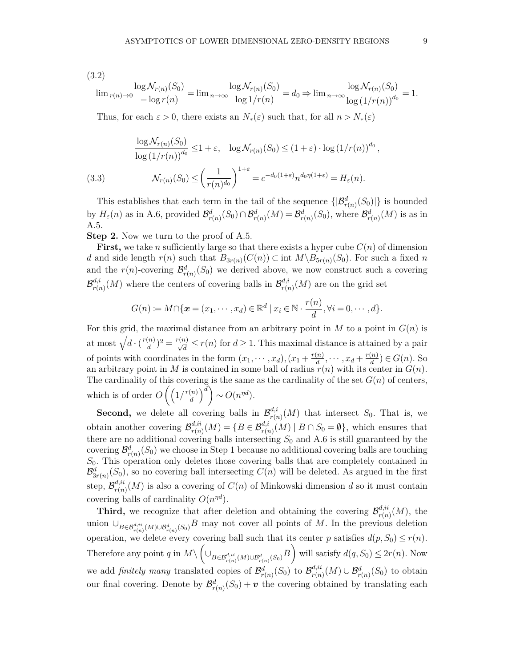(3.2)

$$
\lim_{r(n)\to 0} \frac{\log \mathcal{N}_{r(n)}(S_0)}{-\log r(n)} = \lim_{n\to\infty} \frac{\log \mathcal{N}_{r(n)}(S_0)}{\log 1/r(n)} = d_0 \Rightarrow \lim_{n\to\infty} \frac{\log \mathcal{N}_{r(n)}(S_0)}{\log (1/r(n))^{d_0}} = 1.
$$

Thus, for each  $\varepsilon > 0$ , there exists an  $N_*(\varepsilon)$  such that, for all  $n > N_*(\varepsilon)$ 

(3.3) 
$$
\frac{\log \mathcal{N}_{r(n)}(S_0)}{\log (1/r(n))^{d_0}} \le 1 + \varepsilon, \quad \log \mathcal{N}_{r(n)}(S_0) \le (1 + \varepsilon) \cdot \log (1/r(n))^{d_0}
$$

$$
\mathcal{N}_{r(n)}(S_0) \le \left(\frac{1}{r(n)^{d_0}}\right)^{1+\varepsilon} = c^{-d_0(1+\varepsilon)} n^{d_0 \eta(1+\varepsilon)} = H_{\varepsilon}(n).
$$

This establishes that each term in the tail of the sequence  $\{|\mathcal{B}^d_{r(n)}(S_0)|\}$  is bounded by  $H_{\varepsilon}(n)$  as in A.6, provided  $\mathcal{B}_{r(n)}^d(S_0) \cap \mathcal{B}_{r(n)}^d(M) = \mathcal{B}_{r(n)}^d(S_0)$ , where  $\mathcal{B}_{r(n)}^d(M)$  is as in A.5.

**Step 2.** Now we turn to the proof of A.5.

**First,** we take *n* sufficiently large so that there exists a hyper cube  $C(n)$  of dimension *d* and side length  $r(n)$  such that  $B_{3r(n)}(C(n)) \subset \text{int } M \setminus B_{5r(n)}(S_0)$ . For such a fixed *n* and the  $r(n)$ -covering  $\mathcal{B}_{r(n)}^d(S_0)$  we derived above, we now construct such a covering  $\mathcal{B}^{d,i}_{r(r)}$  $\frac{d_i i}{r(n)}(M)$  where the centers of covering balls in  $\mathcal{B}^{d,i}_{r(n)}$  $r_{r(n)}^{a,i}(M)$  are on the grid set

$$
G(n) := M \cap \{ \boldsymbol{x} = (x_1, \cdots, x_d) \in \mathbb{R}^d \mid x_i \in \mathbb{N} \cdot \frac{r(n)}{d}, \forall i = 0, \cdots, d \}.
$$

For this grid, the maximal distance from an arbitrary point in *M* to a point in *G*(*n*) is at most  $\sqrt{d \cdot (\frac{r(n)}{d})}$  $\frac{(n)}{d}$ )<sup>2</sup> =  $\frac{r(n)}{\sqrt{d}} \le r(n)$  for  $d \ge 1$ . This maximal distance is attained by a pair of points with coordinates in the form  $(x_1, \dots, x_d)$ ,  $(x_1 + \frac{r(n)}{d})$  $\frac{f(n)}{d}, \cdots, x_d + \frac{r(n)}{d}$  $\frac{n}{d}$ )  $\in G(n)$ . So an arbitrary point in *M* is contained in some ball of radius  $r(n)$  with its center in  $G(n)$ . The cardinality of this covering is the same as the cardinality of the set  $G(n)$  of centers, which is of order  $O\left(\frac{r(n)}{d}\right)$  $\left(\frac{n}{d}\right)^d$   $\sim O(n^{nd}).$ 

**Second,** we delete all covering balls in  $\mathcal{B}_{r(s)}^{d,i}$  $r_{r(n)}^{a,i}(M)$  that intersect  $S_0$ . That is, we obtain another covering  $\mathcal{B}^{d,ii}_{r(n)}$  $r_{r(n)}^{d,ii}(M) = \{B \in \mathcal{B}_{r(n)}^{d,i}(M) \mid B \cap S_0 = \emptyset\}$ , which ensures that there are no additional covering balls intersecting *S*<sup>0</sup> and A.6 is still guaranteed by the covering  $\mathcal{B}_{r(n)}^d(S_0)$  we choose in Step 1 because no additional covering balls are touching *S*0. This operation only deletes those covering balls that are completely contained in  $\mathcal{B}^d_{3r(n)}(S_0)$ , so no covering ball intersecting  $C(n)$  will be deleted. As argued in the first step,  $\mathcal{B}_{r(n)}^{d,ii}$  $r_{r(n)}^{d,u}(M)$  is also a covering of  $C(n)$  of Minkowski dimension *d* so it must contain covering balls of cardinality  $O(n^{\eta d})$ .

**Third,** we recognize that after deletion and obtaining the covering  $\mathcal{B}_{r(n)}^{d,ii}$  $_{r(n)}^{a,u}(M)$ , the union  $\cup_{B\in\mathcal{B}_{r(n)}^{d,ii}(M)\cup\mathcal{B}_{r(n)}^d(S_0)}$ *B* may not cover all points of *M*. In the previous deletion operation, we delete every covering ball such that its center *p* satisfies  $d(p, S_0) \le r(n)$ . Therefore any point *q* in  $M \setminus \left( \bigcup_{B \in \mathcal{B}_{r(n)}^{d,ii}(M) \cup \mathcal{B}_{r(n)}^d(S_0)} B \right)$  will satisfy  $d(q, S_0) \leq 2r(n)$ . Now we add *finitely many* translated copies of  $\mathcal{B}^d_{r(n)}(S_0)$  to  $\mathcal{B}^{d,ii}_{r(n)}$  $r_{r(n)}^{d,ii}(M) \cup \mathcal{B}_{r(n)}^d(S_0)$  to obtain our final covering. Denote by  $\mathcal{B}^d_{r(n)}(S_0) + \mathbf{v}$  the covering obtained by translating each

*,*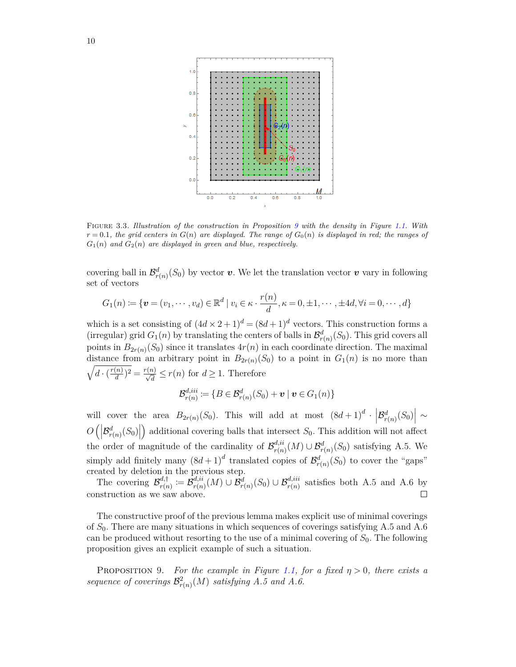

<span id="page-9-1"></span>Figure 3.3*. Illustration of the construction in Proposition [9](#page-9-0) with the density in Figure [1.1.](#page-2-0) With*  $r = 0.1$ *, the grid centers in*  $G(n)$  *are displayed. The range of*  $G_0(n)$  *is displayed in red; the ranges of*  $G_1(n)$  *and*  $G_2(n)$  *are displayed in green and blue, respectively.* 

covering ball in  $\mathcal{B}_{r(n)}^d(S_0)$  by vector *v*. We let the translation vector *v* vary in following set of vectors

$$
G_1(n) \coloneqq \{ \boldsymbol{v} = (v_1, \cdots, v_d) \in \mathbb{R}^d \mid v_i \in \kappa \cdot \frac{r(n)}{d}, \kappa = 0, \pm 1, \cdots, \pm 4d, \forall i = 0, \cdots, d \}
$$

which is a set consisting of  $(4d \times 2 + 1)^d = (8d + 1)^d$  vectors. This construction forms a (irregular) grid  $G_1(n)$  by translating the centers of balls in  $\mathcal{B}^d_{r(n)}(S_0)$ . This grid covers all points in  $B_{2r(n)}(S_0)$  since it translates  $4r(n)$  in each coordinate direction. The maximal distance from an arbitrary point in  $B_{2r(n)}(S_0)$  to a point in  $G_1(n)$  is no more than  $\sqrt{d \cdot (\frac{r(n)}{d})}$  $\frac{(n)}{d}$ <sup>2</sup> =  $\frac{r(n)}{\sqrt{d}} \le r(n)$  for  $d \ge 1$ . Therefore

$$
\mathcal{B}_{r(n)}^{d,iii} := \{ B \in \mathcal{B}_{r(n)}^d(S_0) + \boldsymbol{v} \mid \boldsymbol{v} \in G_1(n) \}
$$

will cover the area  $B_{2r(n)}(S_0)$ . This will add at most  $(8d+1)^d \cdot |\mathcal{B}^d_{r(n)}(S_0)| \sim$  $O\left(\left|\mathcal{B}_{r(n)}^{d}(S_0)\right|\right)$  additional covering balls that intersect *S*<sub>0</sub>. This addition will not affect  $\overline{\phantom{a}}$ the order of magnitude of the cardinality of  $\mathcal{B}^{d,ii}_{r(n)}$  $\mathcal{B}_{r(n)}^{d,ii}(M) \cup \mathcal{B}_{r(n)}^{d}(S_0)$  satisfying A.5. We simply add finitely many  $(8d+1)^d$  translated copies of  $\mathcal{B}^d_{r(n)}(S_0)$  to cover the "gaps" created by deletion in the previous step.

The covering  $\mathcal{B}^{d,\dagger}_{r(r)}$  $\sigma_{r(n)}^{d,\dagger}\coloneqq\mathcal{\tilde{B}}_{r(n)}^{d,ii}$  $\mathcal{B}_{r(n)}^{d,ii}(M) \cup \mathcal{B}_{r(n)}^{d}(S_0) \cup \mathcal{B}_{r(n)}^{d,iii}$  satisfies both A.5 and A.6 by construction as we saw above.  $\Box$ 

The constructive proof of the previous lemma makes explicit use of minimal coverings of *S*0. There are many situations in which sequences of coverings satisfying A.5 and A.6 can be produced without resorting to the use of a minimal covering of *S*0. The following proposition gives an explicit example of such a situation.

<span id="page-9-0"></span>PROPOSITION 9. *For the example in Figure [1.1,](#page-2-0) for a fixed*  $\eta > 0$ *, there exists a* sequence of coverings  $\mathcal{B}_{r(n)}^2(M)$  satisfying A.5 and A.6.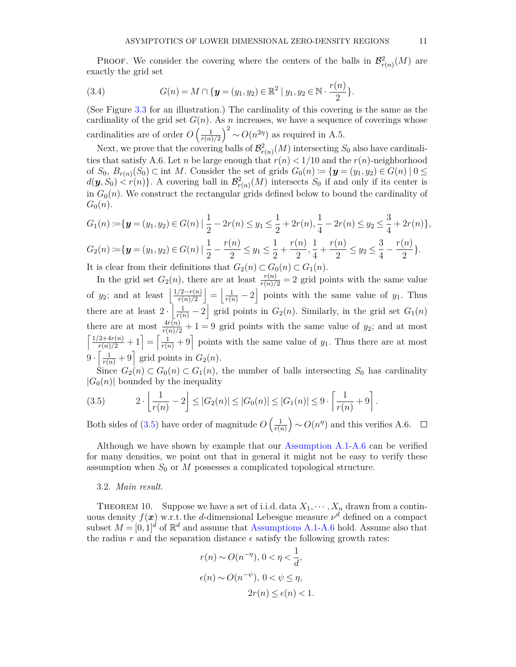**PROOF.** We consider the covering where the centers of the balls in  $\mathcal{B}_{r(n)}^2(M)$  are exactly the grid set

(3.4) 
$$
G(n) = M \cap \{ \mathbf{y} = (y_1, y_2) \in \mathbb{R}^2 \mid y_1, y_2 \in \mathbb{N} \cdot \frac{r(n)}{2} \}.
$$

(See Figure [3.3](#page-9-1) for an illustration.) The cardinality of this covering is the same as the cardinality of the grid set  $G(n)$ . As *n* increases, we have a sequence of coverings whose cardinalities are of order  $O\left(\frac{1}{r(n)}\right)$  $\frac{1}{r(n)/2}$ <sup>2</sup> ~  $O(n^{2\eta})$  as required in A.5.

Next, we prove that the covering balls of  $\mathcal{B}_{r(n)}^2(M)$  intersecting  $S_0$  also have cardinalities that satisfy A.6. Let *n* be large enough that  $r(n) < 1/10$  and the  $r(n)$ -neighborhood of  $S_0$ ,  $B_{r(n)}(S_0) \subset \text{int } M$ . Consider the set of grids  $G_0(n) := \{ \mathbf{y} = (y_1, y_2) \in G(n) \mid 0 \leq \mathbf{y} \leq \mathbf{y} \}$  $d(\mathbf{y}, S_0) \leq r(n)$ . A covering ball in  $\mathcal{B}_{r(n)}^2(M)$  intersects  $S_0$  if and only if its center is in  $G_0(n)$ . We construct the rectangular grids defined below to bound the cardinality of  $G_0(n)$ .

$$
G_1(n) := \{ \mathbf{y} = (y_1, y_2) \in G(n) \mid \frac{1}{2} - 2r(n) \le y_1 \le \frac{1}{2} + 2r(n), \frac{1}{4} - 2r(n) \le y_2 \le \frac{3}{4} + 2r(n) \},
$$
  
\n
$$
G_2(n) := \{ \mathbf{y} = (y_1, y_2) \in G(n) \mid \frac{1}{2} - \frac{r(n)}{2} \le y_1 \le \frac{1}{2} + \frac{r(n)}{2}, \frac{1}{4} + \frac{r(n)}{2} \le y_2 \le \frac{3}{4} - \frac{r(n)}{2} \}.
$$

It is clear from their definitions that  $G_2(n) \subset G_0(n) \subset G_1(n)$ .

In the grid set  $G_2(n)$ , there are at least  $\frac{r(n)}{r(n)/2} = 2$  grid points with the same value of *y*<sub>2</sub>; and at least  $\frac{1}{2} \frac{\gamma(2-r(n))}{r(n)}$  $\left|\frac{f(2-r(n))}{r(n)/2}\right| = \left|\frac{1}{r(n)}-2\right|$  points with the same value of *y*<sub>1</sub>. Thus there are at least  $2 \cdot \left| \frac{1}{r(n)} - 2 \right|$  grid points in  $G_2(n)$ . Similarly, in the grid set  $G_1(n)$ there are at most  $\frac{4r(n)}{r(n)/2} + 1 = 9$  grid points with the same value of  $y_2$ ; and at most  $\left\lceil \frac{1/2+4r(n)}{r(n)/2}+1 \right\rceil = \left\lceil \frac{1}{r(n)}+9 \right\rceil$  points with the same value of  $y_1$ . Thus there are at most  $9 \cdot \left[ \frac{1}{r(n)} + 9 \right]$  grid points in  $G_2(n)$ .

Since  $G_2(n) \subset G_0(n) \subset G_1(n)$ , the number of balls intersecting  $S_0$  has cardinality  $|G_0(n)|$  bounded by the inequality

<span id="page-10-1"></span>(3.5) 
$$
2 \cdot \left\lfloor \frac{1}{r(n)} - 2 \right\rfloor \leq |G_2(n)| \leq |G_0(n)| \leq |G_1(n)| \leq 9 \cdot \left\lceil \frac{1}{r(n)} + 9 \right\rceil.
$$

Both sides of  $(3.5)$  have order of magnitude  $O\left(\frac{1}{r(s)}\right)$  $\frac{1}{r(n)}$   $\sim$  *O*(*n*<sup>*n*</sup>) and this verifies A.6.  $\Box$ 

Although we have shown by example that our [Assumption A.1-A.6](#page-7-2) can be verified for many densities, we point out that in general it might not be easy to verify these assumption when  $S_0$  or  $M$  possesses a complicated topological structure.

#### 3.2. *Main result.*

<span id="page-10-0"></span>THEOREM 10. Suppose we have a set of i.i.d. data  $X_1, \dots, X_n$  drawn from a continuous density  $f(x)$  w.r.t. the *d*-dimensional Lebesgue measure  $\nu<sup>d</sup>$  defined on a compact subset  $M = [0, 1]^d$  of  $\mathbb{R}^d$  and assume that [Assumptions A.1-A.6](#page-7-2) hold. Assume also that the radius r and the separation distance  $\epsilon$  satisfy the following growth rates:

$$
r(n) \sim O(n^{-\eta}), 0 < \eta < \frac{1}{d},
$$
  

$$
\epsilon(n) \sim O(n^{-\psi}), 0 < \psi \le \eta,
$$
  

$$
2r(n) \le \epsilon(n) < 1.
$$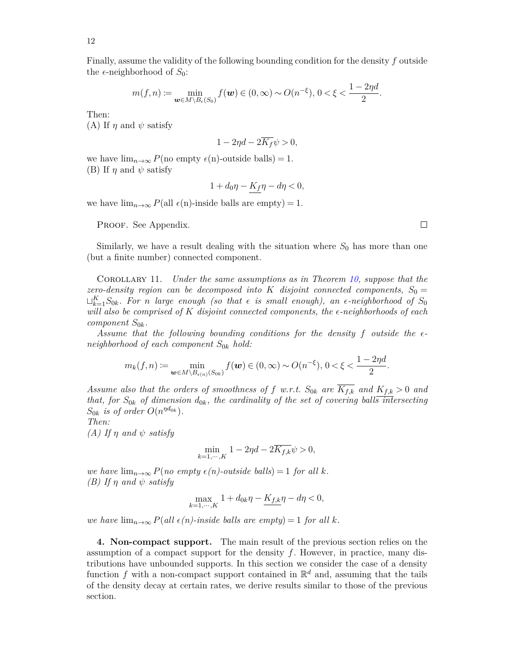Finally, assume the validity of the following bounding condition for the density *f* outside the  $\epsilon$ -neighborhood of  $S_0$ :

$$
m(f, n) := \min_{\boldsymbol{w} \in M \setminus B_{\epsilon}(S_0)} f(\boldsymbol{w}) \in (0, \infty) \sim O(n^{-\xi}), \ 0 < \xi < \frac{1 - 2\eta d}{2}.
$$

Then:

(A) If  $\eta$  and  $\psi$  satisfy

$$
1 - 2\eta d - 2\overline{K_f}\psi > 0,
$$

we have  $\lim_{n\to\infty} P(\text{no empty } \epsilon(\text{n})\text{-outside balls}) = 1.$ (B) If  $\eta$  and  $\psi$  satisfy

$$
1 + d_0 \eta - K_f \eta - d\eta < 0,
$$

we have  $\lim_{n\to\infty} P(\text{all } \epsilon(n)$ -inside balls are empty) = 1.

PROOF. See Appendix.

Similarly, we have a result dealing with the situation where  $S_0$  has more than one (but a finite number) connected component.

Corollary 11. *Under the same assumptions as in Theorem [10,](#page-10-0) suppose that the zero-density region can be decomposed into K disjoint connected components*,  $S_0 =$  $\sqcup_{k=1}^K S_{0k}$ *. For n large enough (so that*  $\epsilon$  *is small enough), an*  $\epsilon$ -neighborhood of  $S_0$ *will also be comprised of K disjoint connected components, the -neighborhoods of each component S*0*<sup>k</sup>.*

*Assume that the following bounding conditions for the density f outside the neighborhood of each component S*0*<sup>k</sup> hold:*

$$
m_k(f, n) := \min_{\bm{w} \in M \backslash B_{\epsilon(n)}(S_{0k})} f(\bm{w}) \in (0, \infty) \sim O(n^{-\xi}), \, 0 < \xi < \frac{1 - 2\eta d}{2}.
$$

*Assume also that the orders of smoothness of f w.r.t.*  $S_{0k}$  *are*  $\overline{K_{f,k}}$  *and*  $K_{f,k} > 0$  *and that, for*  $S_{0k}$  *of dimension*  $d_{0k}$ *, the cardinality of the set of covering balls intersecting*  $S_{0k}$  *is of order*  $O(n^{\eta d_{0k}})$ *.* 

*Then:*

*(A) If η and ψ satisfy*

$$
\min_{k=1,\cdots,K} 1 - 2\eta d - 2\overline{K_{f,k}}\psi > 0,
$$

*we have*  $\lim_{n\to\infty} P(no \text{ empty } \epsilon(n)$ -outside balls) = 1 for all k. *(B) If η and ψ satisfy*

$$
\max_{k=1,\cdots,K} 1+d_{0k}\eta-\underline{K_{f,k}}\eta-d\eta<0,
$$

*we have*  $\lim_{n\to\infty} P(\text{all } \epsilon(n)$ -inside balls are empty $) = 1$  for all k.

<span id="page-11-0"></span>**4. Non-compact support.** The main result of the previous section relies on the assumption of a compact support for the density *f*. However, in practice, many distributions have unbounded supports. In this section we consider the case of a density function f with a non-compact support contained in  $\mathbb{R}^d$  and, assuming that the tails of the density decay at certain rates, we derive results similar to those of the previous section.

 $\Box$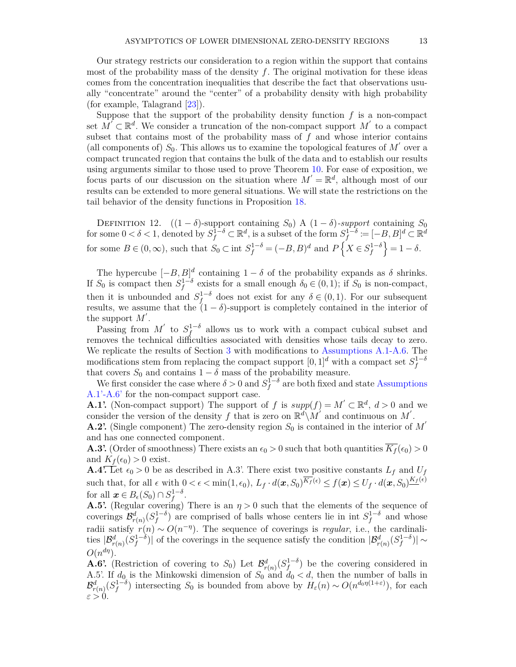Our strategy restricts our consideration to a region within the support that contains most of the probability mass of the density *f*. The original motivation for these ideas comes from the concentration inequalities that describe the fact that observations usually "concentrate" around the "center" of a probability density with high probability (for example, Talagrand [\[23\]](#page-27-11)).

Suppose that the support of the probability density function *f* is a non-compact set  $\tilde{M}^{\prime} \subset \mathbb{R}^d$ . We consider a truncation of the non-compact support  $M'$  to a compact subset that contains most of the probability mass of *f* and whose interior contains (all components of)  $S_0$ . This allows us to examine the topological features of  $M'$  over a compact truncated region that contains the bulk of the data and to establish our results using arguments similar to those used to prove Theorem [10.](#page-10-0) For ease of exposition, we focus parts of our discussion on the situation where  $M' = \mathbb{R}^d$ , although most of our results can be extended to more general situations. We will state the restrictions on the tail behavior of the density functions in Proposition [18.](#page-17-0)

DEFINITION 12.  $((1 - \delta)$ -support containing *S*<sub>0</sub>) A  $(1 - \delta)$ -support containing *S*<sub>0</sub>  $\mathbb{R}^d \subset \mathbb{R}^d$ , is a subset of the form  $S_f^{1-\delta} := [-B, B]^d \subset \mathbb{R}^d$ for some  $B \in (0, \infty)$ , such that  $S_0 \subset \text{int } S_f^{1-\delta} = (-B, B)^d$  and  $P\left\{X \in S_f^{1-\delta}\right\} = 1 - \delta$ .

The hypercube  $[-B, B]^d$  containing  $1 - \delta$  of the probability expands as  $\delta$  shrinks. If  $S_0$  is compact then  $S_f^{1-\delta}$  exists for a small enough  $\delta_0 \in (0,1)$ ; if  $S_0$  is non-compact, then it is unbounded and  $S_f^{1-\delta}$  does not exist for any  $\delta \in (0,1)$ . For our subsequent results, we assume that the  $(1 - \delta)$ -support is completely contained in the interior of the support  $M'$ .

Passing from  $M'$  to  $S_f^{1-\delta}$  allows us to work with a compact cubical subset and removes the technical difficulties associated with densities whose tails decay to zero. We replicate the results of Section [3](#page-3-0) with modifications to [Assumptions A.1-A.6.](#page-7-2) The modifications stem from replacing the compact support  $[0,1]^d$  with a compact set  $S_f^{1-\delta}$ that covers  $S_0$  and contains  $1 - \delta$  mass of the probability measure.

We first consider the case where  $\delta > 0$  and  $S_f^{1-\delta}$  are both fixed and state [Assumptions](#page-7-2) [A.1'-A.6'](#page-7-2) for the non-compact support case.

**A.1'.** (Non-compact support) The support of *f* is  $supp(f) = M' \subset \mathbb{R}^d$ ,  $d > 0$  and we consider the version of the density f that is zero on  $\mathbb{R}^d \backslash M'$  and continuous on M'.

**A.2'.** (Single component) The zero-density region  $S_0$  is contained in the interior of  $M'$ and has one connected component.

**A.3'.** (Order of smoothness) There exists an  $\epsilon_0 > 0$  such that both quantities  $\overline{K_f}(\epsilon_0) > 0$ and  $K_f(\epsilon_0) > 0$  exist.

**A.4.** Let  $\epsilon_0 > 0$  be as described in A.3'. There exist two positive constants  $L_f$  and  $U_f$ such that, for all  $\epsilon$  with  $0 < \epsilon < \min(1, \epsilon_0)$ ,  $L_f \cdot d(\boldsymbol{x}, S_0)^{\overline{K_f}(\epsilon)} \leq f(\boldsymbol{x}) \leq U_f \cdot d(\boldsymbol{x}, S_0)^{\underline{K_f}(\epsilon)}$ for all  $x \in B_{\epsilon}(S_0) \cap S_f^{1-\delta}$ .

**A.5'.** (Regular covering) There is an  $\eta > 0$  such that the elements of the sequence of coverings  $\mathcal{B}_{r(n)}^d(S_f^{1-\delta})$  are comprised of balls whose centers lie in int  $S_f^{1-\delta}$  and whose radii satisfy  $r(n) \sim O(n^{-\eta})$ . The sequence of coverings is *regular*, i.e., the cardinali- $\mathcal{B}_{r(n)}^d(S_f^{1-\delta})$  of the coverings in the sequence satisfy the condition  $|\mathcal{B}_{r(n)}^d(S_f^{1-\delta})| \sim$  $O(n^{d\eta}).$ 

**A.6'.** (Restriction of covering to  $S_0$ ) Let  $\mathcal{B}^d_{r(n)}(S_f^{1-\delta})$  be the covering considered in A.5'. If  $d_0$  is the Minkowski dimension of  $S_0$  and  $d_0 < d$ , then the number of balls in  $\mathcal{B}_{r(n)}^d(S_f^{1-\delta})$  intersecting  $S_0$  is bounded from above by  $H_\varepsilon(n) \sim O(n^{d_0 \eta(1+\varepsilon)})$ , for each  $\varepsilon > 0$ .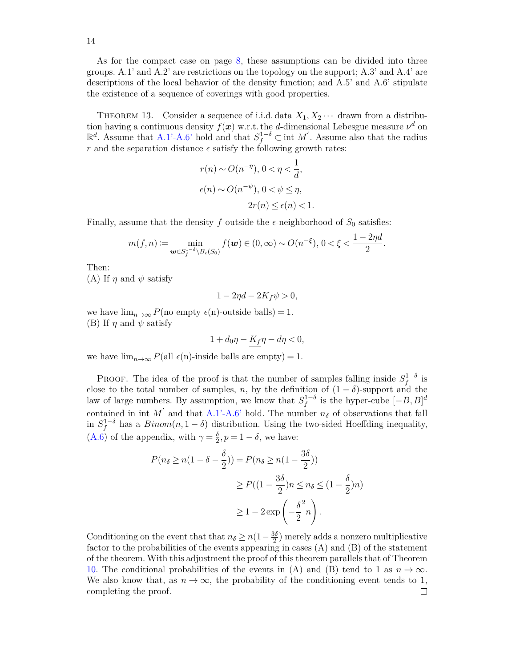14

As for the compact case on page [8,](#page-6-0) these assumptions can be divided into three groups. A.1' and A.2' are restrictions on the topology on the support; A.3' and A.4' are descriptions of the local behavior of the density function; and A.5' and A.6' stipulate the existence of a sequence of coverings with good properties.

<span id="page-13-0"></span>THEOREM 13. Consider a sequence of i.i.d. data  $X_1, X_2 \cdots$  drawn from a distribution having a continuous density  $f(x)$  w.r.t. the *d*-dimensional Lebesgue measure  $\nu<sup>d</sup>$  on  $\mathbb{R}^d$ . Assume that [A.1'-A.6'](#page-0-4) hold and that *S*<sup>1−*δ*</sup> ⊂ int *M'*. Assume also that the radius *r* and the separation distance  $\epsilon$  satisfy the following growth rates:

$$
r(n) \sim O(n^{-\eta}), 0 < \eta < \frac{1}{d},
$$
  

$$
\epsilon(n) \sim O(n^{-\psi}), 0 < \psi \leq \eta,
$$
  

$$
2r(n) \leq \epsilon(n) < 1.
$$

Finally, assume that the density  $f$  outside the  $\epsilon$ -neighborhood of  $S_0$  satisfies:

$$
m(f, n) := \min_{\mathbf{w} \in S_f^{1-\delta} \backslash B_{\epsilon}(S_0)} f(\mathbf{w}) \in (0, \infty) \sim O(n^{-\xi}), \ 0 < \xi < \frac{1 - 2\eta d}{2}
$$

*.*

Then:

(A) If  $\eta$  and  $\psi$  satisfy

$$
1 - 2\eta d - 2\overline{K_f}\psi > 0,
$$

we have  $\lim_{n\to\infty} P(\text{no empty } \epsilon(\text{n})\text{-outside balls}) = 1.$ (B) If  $\eta$  and  $\psi$  satisfy

$$
1 + d_0 \eta - K_f \eta - d\eta < 0,
$$

we have  $\lim_{n\to\infty} P(\text{all } \epsilon(n)$ -inside balls are empty) = 1.

**PROOF.** The idea of the proof is that the number of samples falling inside  $S_f^{1-\delta}$  is close to the total number of samples, *n*, by the definition of  $(1 - \delta)$ -support and the law of large numbers. By assumption, we know that  $S_f^{1-\delta}$  is the hyper-cube  $[-B, B]^d$ contained in int *M*<sup> $\prime$ </sup> and that [A.1'-A.6'](#page-7-0) hold. The number  $n_{\delta}$  of observations that fall in  $S_f^{1-\delta}$  has a  $Binom(n, 1-\delta)$  distribution. Using the two-sided Hoeffding inequality,  $(A.6)$  of the appendix, with  $\gamma = \frac{\delta}{2}$  $\frac{\delta}{2}$ ,  $p = 1 - \delta$ , we have:

$$
P(n_{\delta} \ge n(1 - \delta - \frac{\delta}{2})) = P(n_{\delta} \ge n(1 - \frac{3\delta}{2}))
$$
  

$$
\ge P((1 - \frac{3\delta}{2})n \le n_{\delta} \le (1 - \frac{\delta}{2})n)
$$
  

$$
\ge 1 - 2\exp\left(-\frac{\delta}{2}n\right).
$$

Conditioning on the event that that  $n_{\delta} \geq n(1 - \frac{3\delta}{2})$  $\frac{30}{2}$ ) merely adds a nonzero multiplicative factor to the probabilities of the events appearing in cases  $(A)$  and  $(B)$  of the statement of the theorem. With this adjustment the proof of this theorem parallels that of Theorem [10.](#page-10-0) The conditional probabilities of the events in (A) and (B) tend to 1 as  $n \to \infty$ . We also know that, as  $n \to \infty$ , the probability of the conditioning event tends to 1, completing the proof. $\Box$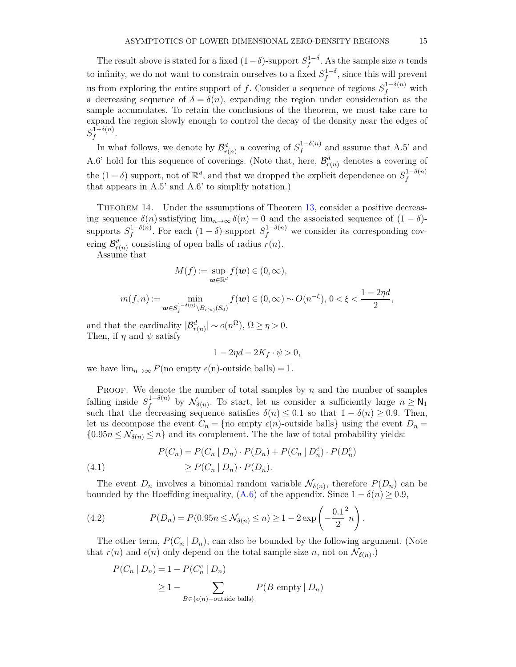The result above is stated for a fixed  $(1-\delta)$ -support  $S_f^{1-\delta}$ . As the sample size *n* tends to infinity, we do not want to constrain ourselves to a fixed  $S_f^{1-\delta}$ , since this will prevent us from exploring the entire support of *f*. Consider a sequence of regions  $S_f^{1-\delta(n)}$  with a decreasing sequence of  $\delta = \delta(n)$ , expanding the region under consideration as the sample accumulates. To retain the conclusions of the theorem, we must take care to expand the region slowly enough to control the decay of the density near the edges of  $S_f^{1-\delta(n)}$  $\int\limits_{f}^{1-o(n)}$ .

In what follows, we denote by  $\mathcal{B}^d_{r(n)}$  a covering of  $S_f^{1-\delta(n)}$  $f_f^{(1-o(n))}$  and assume that A.5' and A.6' hold for this sequence of coverings. (Note that, here,  $\mathcal{B}^d_{r(n)}$  denotes a covering of the  $(1 - \delta)$  support, not of  $\mathbb{R}^d$ , and that we dropped the explicit dependence on  $S_f^{1-\delta(n)}$ *f* that appears in A.5' and A.6' to simplify notation.)

<span id="page-14-2"></span>THEOREM 14. Under the assumptions of Theorem [13,](#page-13-0) consider a positive decreasing sequence  $\delta(n)$  satisfying  $\lim_{n\to\infty} \delta(n) = 0$  and the associated sequence of  $(1 - \delta)$ supports  $S_f^{1-\delta(n)}$  $f_f^{1-\delta(n)}$ . For each  $(1-\delta)$ -support  $S_f^{1-\delta(n)}$  we consider its corresponding covering  $\mathcal{B}^d_{r(n)}$  consisting of open balls of radius  $r(n)$ .

Assume that

$$
M(f) \coloneqq \sup_{\boldsymbol{w} \in \mathbb{R}^d} f(\boldsymbol{w}) \in (0, \infty),
$$

$$
m(f, n) := \min_{\mathbf{w} \in S_f^{1-\delta(n)} \backslash B_{\epsilon(n)}(S_0)} f(\mathbf{w}) \in (0, \infty) \sim O(n^{-\xi}), \ 0 < \xi < \frac{1-2\eta d}{2},
$$

and that the cardinality  $|\mathcal{B}_{r(n)}^d| \sim o(n^{\Omega}), \Omega \geq \eta > 0.$ Then, if  $\eta$  and  $\psi$  satisfy

$$
1 - 2\eta d - 2\overline{K_f} \cdot \psi > 0,
$$

we have  $\lim_{n\to\infty} P(\text{no empty } \epsilon(\text{n})\text{-outside balls}) = 1.$ 

PROOF. We denote the number of total samples by *n* and the number of samples falling inside  $S_f^{1-\delta(n)}$  $\int_{f}^{1-o(n)}$  by  $\mathcal{N}_{\delta(n)}$ . To start, let us consider a sufficiently large  $n \geq N_1$ such that the decreasing sequence satisfies  $\delta(n) \leq 0.1$  so that  $1 - \delta(n) \geq 0.9$ . Then, let us decompose the event  $C_n = \{no \text{ empty } \epsilon(n)$ -outside balls using the event  $D_n =$  ${0.95n \le N_{\delta(n)} \le n}$  and its complement. The the law of total probability yields:

<span id="page-14-1"></span>(4.1) 
$$
P(C_n) = P(C_n | D_n) \cdot P(D_n) + P(C_n | D_n^c) \cdot P(D_n^c)
$$

$$
\geq P(C_n | D_n) \cdot P(D_n).
$$

The event  $D_n$  involves a binomial random variable  $\mathcal{N}_{\delta(n)}$ , therefore  $P(D_n)$  can be bounded by the Hoeffding inequality,  $(A.6)$  of the appendix. Since  $1 - \delta(n) \geq 0.9$ ,

<span id="page-14-0"></span>(4.2) 
$$
P(D_n) = P(0.95n \le \mathcal{N}_{\delta(n)} \le n) \ge 1 - 2 \exp\left(-\frac{0.1^2}{2}n\right).
$$

The other term,  $P(C_n | D_n)$ , can also be bounded by the following argument. (Note that  $r(n)$  and  $\epsilon(n)$  only depend on the total sample size *n*, not on  $\mathcal{N}_{\delta(n)}$ .

$$
P(C_n | D_n) = 1 - P(C_n^c | D_n)
$$
  
\n
$$
\geq 1 - \sum_{B \in \{\epsilon(n)-\text{outside balls}\}} P(B \text{ empty} | D_n)
$$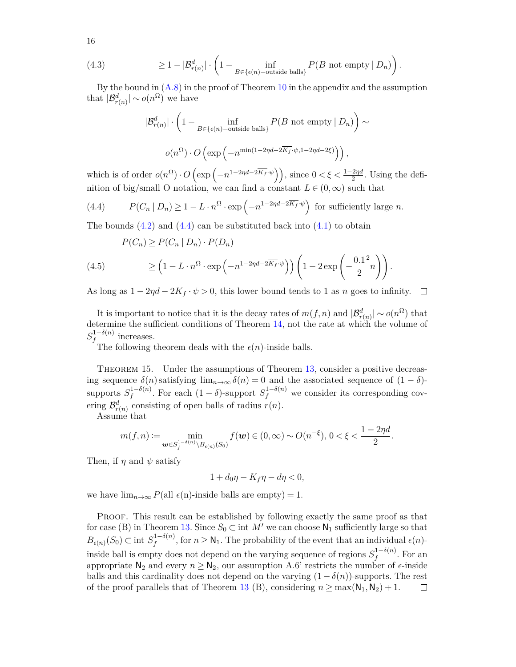(4.3) 
$$
\geq 1 - |\mathcal{B}_{r(n)}^d| \cdot \left(1 - \inf_{B \in \{\epsilon(n)-\text{outside balls}\}} P(B \text{ not empty} \mid D_n)\right).
$$

By the bound in  $(A.8)$  in the proof of Theorem [10](#page-10-0) in the appendix and the assumption that  $|\mathcal{B}_{r(n)}^d| \sim o(n^{\Omega})$  we have

$$
|\mathcal{B}_{r(n)}^d| \cdot \left(1 - \inf_{B \in \{\epsilon(n)-\text{outside balls}\}} P(B \text{ not empty} \mid D_n)\right) \sim
$$

$$
o(n^{\Omega}) \cdot O\left(\exp\left(-n^{\min(1-2\eta d - 2\overline{K}_f \cdot \psi, 1-2\eta d - 2\xi)}\right)\right),
$$

which is of order  $o(n^{\Omega}) \cdot O\left(\exp\left(-n^{1-2\eta d - 2\overline{K}_f \cdot \psi}\right)\right)$ , since  $0 < \xi < \frac{1-2\eta d}{2}$ . Using the definition of big/small O notation, we can find a constant  $L \in (0, \infty)$  such that

<span id="page-15-0"></span>(4.4) 
$$
P(C_n | D_n) \ge 1 - L \cdot n^{\Omega} \cdot \exp\left(-n^{1-2\eta d - 2\overline{K_f} \cdot \psi}\right) \text{ for sufficiently large } n.
$$

The bounds  $(4.2)$  and  $(4.4)$  can be substituted back into  $(4.1)$  to obtain

(4.5) 
$$
P(C_n) \ge P(C_n | D_n) \cdot P(D_n)
$$

$$
\ge \left(1 - L \cdot n^{\Omega} \cdot \exp\left(-n^{1-2\eta d - 2\overline{K}_f \cdot \psi}\right)\right) \left(1 - 2\exp\left(-\frac{0.1^2}{2}n\right)\right).
$$

As long as  $1 - 2\eta d - 2\overline{K_f} \cdot \psi > 0$ , this lower bound tends to 1 as *n* goes to infinity.  $\Box$ 

It is important to notice that it is the decay rates of  $m(f, n)$  and  $|\mathcal{B}^d_{r(n)}| \sim o(n^{\Omega})$  that determine the sufficient conditions of Theorem [14,](#page-14-2) not the rate at which the volume of  $S_f^{1-\delta(n)}$  $f^{1-o(n)}$  increases.

The following theorem deals with the  $\epsilon(n)$ -inside balls.

<span id="page-15-1"></span>Theorem 15. Under the assumptions of Theorem [13,](#page-13-0) consider a positive decreasing sequence  $\delta(n)$  satisfying  $\lim_{n\to\infty} \delta(n) = 0$  and the associated sequence of  $(1 - \delta)$ supports  $S_f^{1-\delta(n)}$  $f_f^{1-\delta(n)}$ . For each  $(1-\delta)$ -support  $S_f^{1-\delta(n)}$  we consider its corresponding covering  $\mathcal{B}^d_{r(n)}$  consisting of open balls of radius  $r(n)$ .

Assume that

$$
m(f, n) := \min_{\boldsymbol{w} \in S_f^{1 - \delta(n)} \backslash B_{\epsilon(n)}(S_0)} f(\boldsymbol{w}) \in (0, \infty) \sim O(n^{-\xi}), \, 0 < \xi < \frac{1 - 2\eta d}{2}.
$$

Then, if  $\eta$  and  $\psi$  satisfy

 $1 + d_0\eta - K_f\eta - d\eta < 0,$ 

we have  $\lim_{n\to\infty} P(\text{all } \epsilon(n)$ -inside balls are empty) = 1.

PROOF. This result can be established by following exactly the same proof as that for case (B) in Theorem [13.](#page-13-0) Since  $S_0 \subset \text{int } M'$  we can choose  $\mathsf{N}_1$  sufficiently large so that  $B_{\epsilon(n)}(S_0) \subset \text{int } S_f^{1-\delta(n)}$  $f_f^{(1-o(n)}$ , for  $n \geq N_1$ . The probability of the event that an individual  $\epsilon(n)$ inside ball is empty does not depend on the varying sequence of regions  $S_f^{1-\delta(n)}$  $f^{1-o(n)}$ . For an appropriate  $\mathsf{N}_2$  and every  $n \geq \mathsf{N}_2$ , our assumption A.6' restricts the number of  $\epsilon$ -inside balls and this cardinality does not depend on the varying  $(1 - \delta(n))$ -supports. The rest of the proof parallels that of Theorem [13](#page-13-0) (B), considering  $n \geq \max(N_1, N_2) + 1$ .  $\Box$ 

16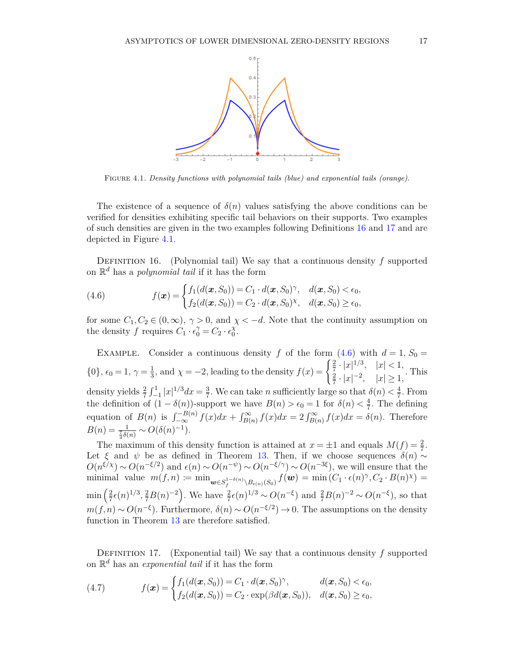

<span id="page-16-2"></span>Figure 4.1*. Density functions with polynomial tails (blue) and exponential tails (orange).*

The existence of a sequence of  $\delta(n)$  values satisfying the above conditions can be verified for densities exhibiting specific tail behaviors on their supports. Two examples of such densities are given in the two examples following Definitions [16](#page-16-0) and [17](#page-16-1) and are depicted in Figure [4.1.](#page-16-2)

<span id="page-16-0"></span>Definition 16. (Polynomial tail) We say that a continuous density *f* supported on R *<sup>d</sup>* has a *polynomial tail* if it has the form

<span id="page-16-3"></span>(4.6) 
$$
f(\boldsymbol{x}) = \begin{cases} f_1(d(\boldsymbol{x}, S_0)) = C_1 \cdot d(\boldsymbol{x}, S_0)^\gamma, & d(\boldsymbol{x}, S_0) < \epsilon_0, \\ f_2(d(\boldsymbol{x}, S_0)) = C_2 \cdot d(\boldsymbol{x}, S_0)^\gamma, & d(\boldsymbol{x}, S_0) \ge \epsilon_0, \end{cases}
$$

for some  $C_1, C_2 \in (0, \infty)$ ,  $\gamma > 0$ , and  $\chi < -d$ . Note that the continuity assumption on the density *f* requires  $C_1 \cdot \epsilon_0^{\gamma} = C_2 \cdot \epsilon_0^{\chi}$  $_{0}^{\chi}$ .

EXAMPLE. Consider a continuous density *f* of the form  $(4.6)$  with  $d = 1, S_0 =$  $\{0\}, \epsilon_0 = 1, \gamma = \frac{1}{3}$  $\frac{1}{3}$ , and  $\chi = -2$ , leading to the density  $f(x) = \begin{cases} \frac{2}{7} \cdot |x|^{1/3}, & |x| < 1, \\ \frac{2}{7} \cdot |x|^{-2}, & |x| > 1. \end{cases}$ 2  $\frac{2}{7} \cdot |x|^{-2}$ ,  $|x| \ge 1$ , This density yields  $\frac{2}{7} \int_{-1}^{1} |x|^{1/3} dx = \frac{3}{7}$  $\frac{3}{7}$ . We can take *n* sufficiently large so that  $\delta(n) < \frac{4}{7}$  $\frac{4}{7}$ . From the definition of  $(1 - \delta(n))$ -support we have  $B(n) > \epsilon_0 = 1$  for  $\delta(n) < \frac{4}{7}$ . The defining equation of  $B(n)$  is  $\int_{-\infty}^{-B(n)} f(x) dx + \int_{B(n)}^{\infty} f(x) dx = 2 \int_{B(n)}^{\infty} f(x) dx = \delta(n)$ . Therefore  $B(n) = \frac{1}{\frac{7}{4}\delta(n)} \sim O(\delta(n)^{-1}).$ 

The maximum of this density function is attained at  $x = \pm 1$  and equals  $M(f) = \frac{2}{7}$ . The maximum of this defined in Theorem [13.](#page-13-0) Then, if we choose sequences  $δ(n)$  ∼  $O(n^{\xi/\chi}) \sim O(n^{-\xi/2})$  and  $\epsilon(n) \sim O(n^{-\psi}) \sim O(n^{-\xi/\gamma}) \sim O(n^{-3\xi})$ , we will ensure that the minimal value  $m(f, n) := \min_{\mathbf{w} \in S_f^{1-\delta(n)} \setminus B_{\epsilon(n)}(S_0)} f(\mathbf{w}) = \min (C_1 \cdot \epsilon(n)^{\gamma}, C_2 \cdot B(n)^{\chi}) =$  $\min\left(\frac{2}{7}\right)$  $\frac{2}{7}\epsilon(n)^{1/3}, \frac{2}{7}B(n)^{-2}$ . We have  $\frac{2}{7}\epsilon(n)^{1/3} \sim O(n^{-\xi})$  and  $\frac{2}{7}B(n)^{-2} \sim O(n^{-\xi})$ , so that  $m(f, n) \sim O(n^{-\xi})$ . Furthermore,  $\delta(n) \sim O(n^{-\xi/2}) \to 0$ . The assumptions on the density function in Theorem [13](#page-13-0) are therefore satisfied.

<span id="page-16-1"></span>Definition 17. (Exponential tail) We say that a continuous density *f* supported on R *<sup>d</sup>* has an *exponential tail* if it has the form

<span id="page-16-4"></span>(4.7) 
$$
f(\boldsymbol{x}) = \begin{cases} f_1(d(\boldsymbol{x}, S_0)) = C_1 \cdot d(\boldsymbol{x}, S_0)^\gamma, & d(\boldsymbol{x}, S_0) < \epsilon_0, \\ f_2(d(\boldsymbol{x}, S_0)) = C_2 \cdot \exp(\beta d(\boldsymbol{x}, S_0)), & d(\boldsymbol{x}, S_0) \ge \epsilon_0, \end{cases}
$$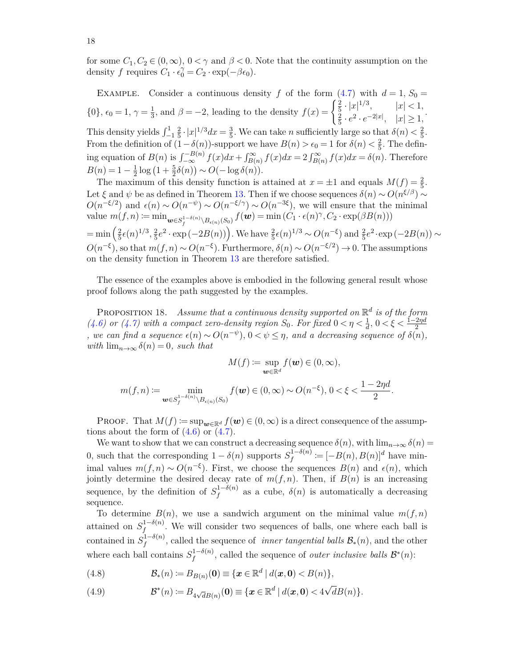for some  $C_1, C_2 \in (0, \infty)$ ,  $0 < \gamma$  and  $\beta < 0$ . Note that the continuity assumption on the density *f* requires  $C_1 \cdot \hat{e_0} = C_2 \cdot \exp(-\beta \epsilon_0)$ .

EXAMPLE. Consider a continuous density *f* of the form  $(4.7)$  with  $d = 1, S_0 =$  $\{0\}, \epsilon_0 = 1, \gamma = \frac{1}{3}$  $\frac{1}{3}$ , and  $\beta = -2$ , leading to the density  $f(x) = \begin{cases} \frac{2}{5} \cdot |x|^{1/3}, & |x| < 1, \\ \frac{2}{5} \cdot e^2 \cdot e^{-2|x|}, & |x| > 1. \end{cases}$ 2  $\frac{2}{5} \cdot e^2 \cdot e^{-2|x|}, \quad |x| \ge 1,$ <br> $\frac{2}{5} \cdot e^2 \cdot e^{-2|x|}, \quad |x| \ge 1,$ This density yields  $\int_{-1}^{1} \frac{2}{5}$  $\frac{2}{5} \cdot |x|^{1/3} dx = \frac{3}{5}$  $\frac{3}{5}$ . We can take *n* sufficiently large so that  $\delta(n) < \frac{2}{5}$  $\frac{2}{5}$ . From the definition of  $(1 - \delta(n))$ -support we have  $B(n) > \epsilon_0 = 1$  for  $\delta(n) < \frac{2}{5}$  $\frac{2}{5}$ . The defining equation of  $B(n)$  is  $\int_{-\infty}^{-B(n)} f(x)dx + \int_{B(n)}^{\infty} f(x)dx = 2 \int_{B(n)}^{\infty} f(x)dx = \delta(n)$ . Therefore  $B(n) = 1 - \frac{1}{2}$  $\frac{1}{2} \log (1 + \frac{5}{2} \delta(n)) \sim O(-\log \delta(n)).$ 

The maximum of this density function is attained at  $x = \pm 1$  and equals  $M(f) = \frac{2}{5}$ . Let  $\xi$  and  $\psi$  be as defined in Theorem [13.](#page-13-0) Then if we choose sequences  $\delta(n) \sim O(n^{\xi/\beta}) \sim$  $O(n^{-\xi/2})$  and  $\epsilon(n) \sim O(n^{-\psi}) \sim O(n^{-\xi/\gamma}) \sim O(n^{-3\xi})$ , we will ensure that the minimal  $\text{value } m(f, n) := \min_{\boldsymbol{w} \in S_f^{1-\delta(n)} \setminus B_{\epsilon(n)}(S_0)} f(\boldsymbol{w}) = \min (C_1 \cdot \epsilon(n)^{\gamma}, C_2 \cdot \exp(\beta B(n)))$  $=\min\left(\frac{2}{5}\right)$  $\frac{2}{5}\epsilon(n)^{1/3}, \frac{2}{5}$  $\frac{2}{5}e^2 \cdot \exp(-2B(n))$ . We have  $\frac{2}{5}\epsilon(n)^{1/3} \sim O(n^{-\xi})$  and  $\frac{2}{5}e^2 \cdot \exp(-2B(n)) \sim$  $O(n^{-\xi})$ , so that  $m(f, n) \sim O(n^{-\xi})$ . Furthermore,  $\delta(n) \sim O(n^{-\xi/2}) \to 0$ . The assumptions on the density function in Theorem [13](#page-13-0) are therefore satisfied.

The essence of the examples above is embodied in the following general result whose proof follows along the path suggested by the examples.

<span id="page-17-0"></span>Proposition 18. *Assume that a continuous density supported on* R *d is of the form [\(4.6\)](#page-16-3)* or *[\(4.7\)](#page-16-4)* with a compact zero-density region  $S_0$ . For fixed  $0 < \eta < \frac{1}{d}$ ,  $0 < \xi < \frac{1-2\eta d}{2}$ *,* we can find a sequence  $\epsilon(n) \sim O(n^{-\psi})$ ,  $0 \lt \psi \leq \eta$ , and a decreasing sequence of  $\delta(n)$ , *with*  $\lim_{n\to\infty} \delta(n) = 0$ *, such that* 

$$
M(f) := \sup_{\mathbf{w} \in \mathbb{R}^d} f(\mathbf{w}) \in (0, \infty),
$$
  

$$
m(f, n) := \min_{\mathbf{w} \in S_f^{1 - \delta(n)} \backslash B_{\epsilon(n)}(S_0)} f(\mathbf{w}) \in (0, \infty) \sim O(n^{-\xi}), 0 < \xi < \frac{1 - 2\eta d}{2}.
$$

**PROOF.** That  $M(f) := \sup_{\mathbf{w} \in \mathbb{R}^d} f(\mathbf{w}) \in (0, \infty)$  is a direct consequence of the assumptions about the form of  $(4.6)$  or  $(4.7)$ .

We want to show that we can construct a decreasing sequence  $\delta(n)$ , with  $\lim_{n\to\infty} \delta(n)$ 0, such that the corresponding  $1 - \delta(n)$  supports  $S_f^{1-\delta(n)}$  $f_f^{(1-\delta(n))} := [-B(n), B(n)]^d$  have minimal values  $m(f, n) \sim O(n^{-\xi})$ . First, we choose the sequences  $B(n)$  and  $\epsilon(n)$ , which jointly determine the desired decay rate of  $m(f, n)$ . Then, if  $B(n)$  is an increasing sequence, by the definition of  $S_f^{1-\delta(n)}$  $f_f^{(1-o(n))}$  as a cube,  $\delta(n)$  is automatically a decreasing sequence.

To determine  $B(n)$ , we use a sandwich argument on the minimal value  $m(f, n)$ attained on  $S_f^{1-\delta(n)}$  $f_f^{(1-o(n)}$ . We will consider two sequences of balls, one where each ball is contained in  $S_f^{1-\delta(n)}$  $f_f^{(1-o(n)}$ , called the sequence of *inner tangential balls*  $\mathcal{B}_*(n)$ , and the other where each ball contains  $S_f^{1-\delta(n)}$  $f_f^{1-\delta(n)}$ , called the sequence of *outer inclusive balls*  $\mathcal{B}^*(n)$ :

(4.8) 
$$
\mathcal{B}_*(n) \coloneqq B_{B(n)}(\mathbf{0}) \equiv \{ \mathbf{x} \in \mathbb{R}^d \mid d(\mathbf{x}, \mathbf{0}) < B(n) \},
$$

(4.9) 
$$
\mathcal{B}^*(n) \coloneqq B_{4\sqrt{d}B(n)}(\mathbf{0}) \equiv \{ \mathbf{x} \in \mathbb{R}^d \mid d(\mathbf{x}, \mathbf{0}) < 4\sqrt{d}B(n) \}.
$$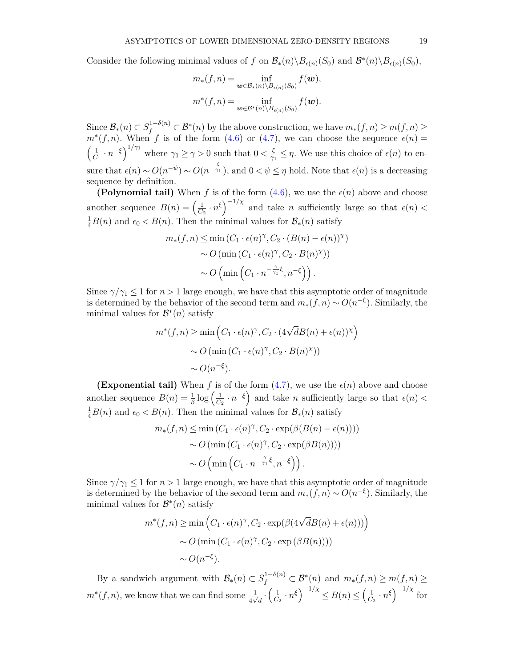Consider the following minimal values of *f* on  $\mathcal{B}_{*}(n)\backslash B_{\epsilon(n)}(S_0)$  and  $\mathcal{B}^{*}(n)\backslash B_{\epsilon(n)}(S_0)$ ,

$$
m_*(f,n) = \inf_{\mathbf{w} \in \mathcal{B}_*(n) \backslash B_{\epsilon(n)}(S_0)} f(\mathbf{w}),
$$
  

$$
m^*(f,n) = \inf_{\mathbf{w} \in \mathcal{B}^*(n) \backslash B_{\epsilon(n)}(S_0)} f(\mathbf{w}).
$$

Since  $\mathcal{B}_*(n) \subset S_f^{1-\delta(n)} \subset \mathcal{B}^*(n)$  by the above construction, we have  $m_*(f, n) \ge m(f, n) \ge$  $m^*(f, n)$ . When *f* is of the form [\(4.6\)](#page-16-3) or [\(4.7\)](#page-16-4), we can choose the sequence  $\epsilon(n)$  $\sqrt{1}$  $\frac{1}{C_1} \cdot n^{-\xi}$ <sup> $1/\gamma_1$ </sup> where  $\gamma_1 \geq \gamma > 0$  such that  $0 < \frac{\xi}{\gamma_1}$  $\frac{\xi}{\gamma_1} \leq \eta$ . We use this choice of  $\epsilon(n)$  to ensure that  $\epsilon(n) \sim O(n^{-\psi}) \sim O(n^{-\frac{\xi}{\gamma_1}})$ , and  $0 < \psi \leq \eta$  hold. Note that  $\epsilon(n)$  is a decreasing sequence by definition.

**(Polynomial tail)** When *f* is of the form  $(4.6)$ , we use the  $\epsilon(n)$  above and choose another sequence  $B(n) = \left(\frac{1}{C}\right)$  $\frac{1}{C_2} \cdot n^{\xi}$  and take *n* sufficiently large so that  $\epsilon(n)$  <  $\frac{1}{4}B(n)$  and  $\epsilon_0 < B(n)$ . Then the minimal values for  $\mathcal{B}_*(n)$  satisfy

$$
m_*(f, n) \le \min(C_1 \cdot \epsilon(n)^{\gamma}, C_2 \cdot (B(n) - \epsilon(n))^{\chi})
$$

$$
\sim O(\min(C_1 \cdot \epsilon(n)^{\gamma}, C_2 \cdot B(n)^{\chi}))
$$

$$
\sim O(\min(C_1 \cdot n^{-\frac{\gamma}{\gamma_1}\xi}, n^{-\xi})).
$$

Since  $\gamma/\gamma_1 \leq 1$  for  $n > 1$  large enough, we have that this asymptotic order of magnitude is determined by the behavior of the second term and  $m_*(f, n) \sim O(n^{-\xi})$ . Similarly, the minimal values for  $\mathcal{B}^*(n)$  satisfy

$$
m^*(f, n) \ge \min\left(C_1 \cdot \epsilon(n)^{\gamma}, C_2 \cdot (4\sqrt{d}B(n) + \epsilon(n))^{\chi}\right)
$$
  
 
$$
\sim O\left(\min\left(C_1 \cdot \epsilon(n)^{\gamma}, C_2 \cdot B(n)^{\chi}\right)\right)
$$
  
 
$$
\sim O(n^{-\xi}).
$$

**(Exponential tail)** When f is of the form  $(4.7)$ , we use the  $\epsilon(n)$  above and choose another sequence  $B(n) = \frac{1}{\beta} \log \left( \frac{1}{C_n} \right)$  $\left(\frac{1}{C_2} \cdot n^{-\xi}\right)$  and take *n* sufficiently large so that  $\epsilon(n)$  <  $\frac{1}{4}B(n)$  and  $\epsilon_0 < B(n)$ . Then the minimal values for  $\mathcal{B}_*(n)$  satisfy

$$
m_*(f, n) \le \min (C_1 \cdot \epsilon(n)^{\gamma}, C_2 \cdot \exp(\beta(B(n) - \epsilon(n))))
$$

$$
\sim O(\min (C_1 \cdot \epsilon(n)^{\gamma}, C_2 \cdot \exp(\beta B(n))))
$$

$$
\sim O\left(\min \left(C_1 \cdot n^{-\frac{\gamma}{\gamma_1} \xi}, n^{-\xi}\right)\right).
$$

Since  $\gamma/\gamma_1 \leq 1$  for  $n > 1$  large enough, we have that this asymptotic order of magnitude is determined by the behavior of the second term and  $m_*(f, n) \sim O(n^{-\xi})$ . Similarly, the minimal values for  $\mathcal{B}^*(n)$  satisfy

$$
m^*(f, n) \ge \min\left(C_1 \cdot \epsilon(n)^{\gamma}, C_2 \cdot \exp(\beta(4\sqrt{d}B(n) + \epsilon(n)))\right)
$$

$$
\sim O\left(\min\left(C_1 \cdot \epsilon(n)^{\gamma}, C_2 \cdot \exp(\beta B(n)))\right)\right)
$$

$$
\sim O(n^{-\xi}).
$$

By a sandwich argument with  $\mathcal{B}_*(n) \subset S_f^{1-\delta(n)} \subset \mathcal{B}^*(n)$  and  $m_*(f,n) \ge m(f,n) \ge$  $m^*(f, n)$ , we know that we can find some  $\frac{1}{4\sqrt{d}} \cdot \left(\frac{1}{C_1}\right)$  $\frac{1}{C_2} \cdot n^{\xi}$   $\left(\frac{1}{C_1}\right)^{-1/\chi} \leq B(n) \leq \left(\frac{1}{C_2}\right)^{\frac{1}{\chi}}$  $\frac{1}{C_2} \cdot n^{\xi}$  $\Big)^{-1/\chi}$  for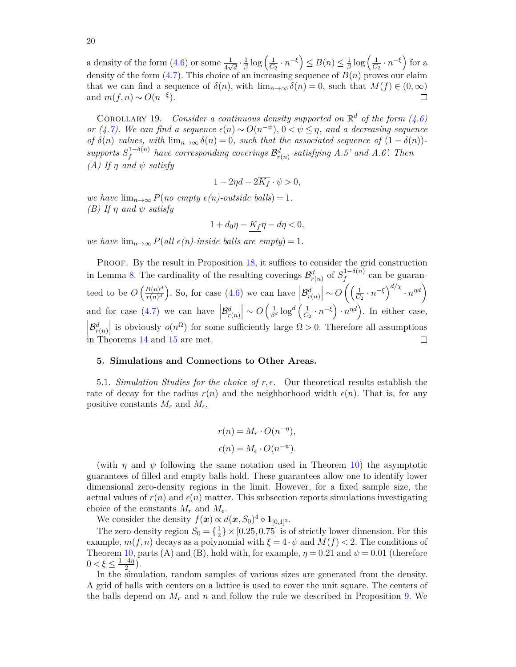$\frac{1}{\beta}\log\left(\frac{1}{C}\right)$  $\left(\frac{1}{C_2} \cdot n^{-\xi}\right) \leq B(n) \leq \frac{1}{\beta}$  $\frac{1}{\beta}\log\left(\frac{1}{C}\right)$  $\frac{1}{C_2} \cdot n^{-\xi}$  for a a density of the form  $(4.6)$  or some  $\frac{1}{4\sqrt{d}} \cdot \frac{1}{\beta}$ density of the form [\(4.7\)](#page-16-4). This choice of an increasing sequence of *B*(*n*) proves our claim that we can find a sequence of  $\delta(n)$ , with  $\lim_{n\to\infty} \delta(n) = 0$ , such that  $M(f) \in (0,\infty)$ and  $m(f, n) \sim O(n^{-\xi}).$  $\Box$ 

COROLLARY 19. *Consider a continuous density supported on*  $\mathbb{R}^d$  *of the form* [\(4.6\)](#page-16-3) *or* [\(4.7\)](#page-16-4). We can find a sequence  $\epsilon(n) \sim O(n^{-\psi})$ ,  $0 < \psi \leq \eta$ , and a decreasing sequence *of*  $\delta(n)$  *values, with*  $\lim_{n\to\infty} \delta(n) = 0$ *, such that the associated sequence of*  $(1 - \delta(n))$  $supports S_f^{1-\delta(n)}$  $f^{1-\delta(n)}$  have corresponding coverings  $\mathcal{B}^d_{r(n)}$  satisfying A.5' and A.6'. Then *(A)* If  $η$  *and*  $ψ$  *satisfy* 

$$
1 - 2\eta d - 2\overline{K_f} \cdot \psi > 0,
$$

*we have*  $\lim_{n\to\infty} P(no \text{ empty } \epsilon(n)$ -outside balls) = 1. *(B) If η and ψ satisfy*

$$
1+d_0\eta-\underline{K_f}\eta-d\eta<0,
$$

*we have*  $\lim_{n\to\infty} P(\text{all } \epsilon(n)$ -inside balls are empty $) = 1$ .

PROOF. By the result in Proposition [18,](#page-17-0) it suffices to consider the grid construction in Lemma [8.](#page-7-3) The cardinality of the resulting coverings  $\mathcal{B}^d_{r(n)}$  of  $S_f^{1-\delta(n)}$  $f_f^{(1-o(n))}$  can be guaran- $\frac{B(n)^d}{r(n)^d}$ . So, for case [\(4.6\)](#page-16-3) we can have  $\left|\mathcal{B}^d_{r(n)}\right| \sim O\left(\left(\frac{1}{C_1}\right)$  $\frac{1}{C_2} \cdot n^{-\xi}$  *d*<sup>/x</sup></sup> ·  $n^{\eta d}$ <br> *C* teed to be  $O\left(\frac{B(n)^d}{r(n)^d}\right)$ and for case [\(4.7\)](#page-16-4) we can have  $\left|\mathcal{B}^d_{r(n)}\right| \sim O\left(\frac{1}{\beta^d} \log^d\left(\frac{1}{C_1}\right)\right)$  $\frac{1}{C_2} \cdot n^{-\xi}$   $\cdot n^{\eta d}$ . In either case,  $\left|\mathcal{B}_{r(n)}^{d}\right|$  is obviously  $o(n^{\Omega})$  for some sufficiently large  $\Omega > 0$ . Therefore all assumptions in Theorems [14](#page-14-2) and [15](#page-15-1) are met.  $\Box$ 

## <span id="page-19-0"></span>**5. Simulations and Connections to Other Areas.**

5.1. *Simulation Studies for the choice of*  $r, \epsilon$ . Our theoretical results establish the rate of decay for the radius  $r(n)$  and the neighborhood width  $\epsilon(n)$ . That is, for any positive constants  $M_r$  and  $M_\epsilon$ ,

$$
r(n) = M_r \cdot O(n^{-\eta}),
$$
  

$$
\epsilon(n) = M_{\epsilon} \cdot O(n^{-\psi}).
$$

(with  $\eta$  and  $\psi$  following the same notation used in Theorem [10\)](#page-10-0) the asymptotic guarantees of filled and empty balls hold. These guarantees allow one to identify lower dimensional zero-density regions in the limit. However, for a fixed sample size, the actual values of  $r(n)$  and  $\epsilon(n)$  matter. This subsection reports simulations investigating choice of the constants  $M_r$  and  $M_\epsilon$ .

We consider the density  $f(\mathbf{x}) \propto d(\mathbf{x}, S_0)^4 \circ \mathbf{1}_{[0,1]^2}$ .

The zero-density region  $S_0 = \{\frac{1}{2}\}$  $\frac{1}{2}$   $\times$  [0.25*,* 0.75] is of strictly lower dimension. For this example,  $m(f, n)$  decays as a polynomial with  $\xi = 4 \cdot \psi$  and  $M(f) < 2$ . The conditions of Theorem [10,](#page-10-0) parts (A) and (B), hold with, for example,  $\eta = 0.21$  and  $\psi = 0.01$  (therefore  $0 < \xi \leq \frac{1-4\eta}{2}$  $\frac{-4\eta}{2}$ ).

In the simulation, random samples of various sizes are generated from the density. A grid of balls with centers on a lattice is used to cover the unit square. The centers of the balls depend on  $M_r$  and  $n$  and follow the rule we described in Proposition [9.](#page-9-0) We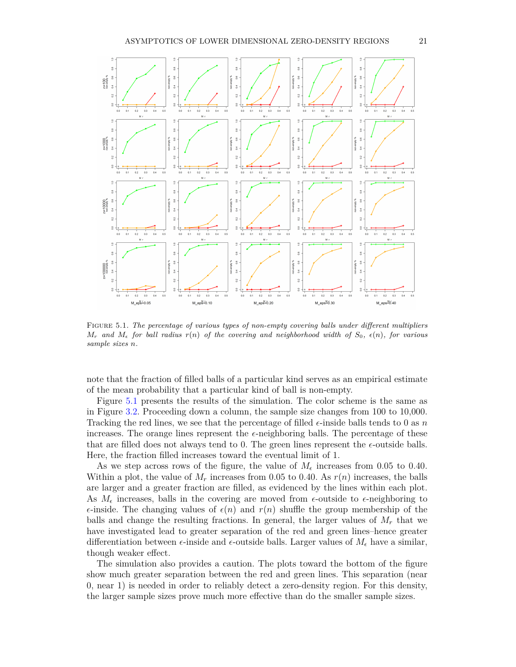

<span id="page-20-0"></span>Figure 5.1*. The percentage of various types of non-empty covering balls under different multipliers*  $M_r$  and  $M_e$  for ball radius  $r(n)$  of the covering and neighborhood width of  $S_0$ ,  $\epsilon(n)$ , for various *sample sizes n.*

note that the fraction of filled balls of a particular kind serves as an empirical estimate of the mean probability that a particular kind of ball is non-empty.

Figure [5.1](#page-20-0) presents the results of the simulation. The color scheme is the same as in Figure [3.2.](#page-6-1) Proceeding down a column, the sample size changes from 100 to 10,000. Tracking the red lines, we see that the percentage of filled  $\epsilon$ -inside balls tends to 0 as *n* increases. The orange lines represent the  $\epsilon$ -neighboring balls. The percentage of these that are filled does not always tend to 0. The green lines represent the  $\epsilon$ -outside balls. Here, the fraction filled increases toward the eventual limit of 1.

As we step across rows of the figure, the value of  $M_{\epsilon}$  increases from 0.05 to 0.40. Within a plot, the value of  $M_r$  increases from 0.05 to 0.40. As  $r(n)$  increases, the balls are larger and a greater fraction are filled, as evidenced by the lines within each plot. As  $M_{\epsilon}$  increases, balls in the covering are moved from  $\epsilon$ -outside to  $\epsilon$ -neighboring to  $\epsilon$ -inside. The changing values of  $\epsilon(n)$  and  $r(n)$  shuffle the group membership of the balls and change the resulting fractions. In general, the larger values of  $M_r$  that we have investigated lead to greater separation of the red and green lines–hence greater differentiation between  $\epsilon$ -inside and  $\epsilon$ -outside balls. Larger values of  $M_{\epsilon}$  have a similar, though weaker effect.

The simulation also provides a caution. The plots toward the bottom of the figure show much greater separation between the red and green lines. This separation (near 0, near 1) is needed in order to reliably detect a zero-density region. For this density, the larger sample sizes prove much more effective than do the smaller sample sizes.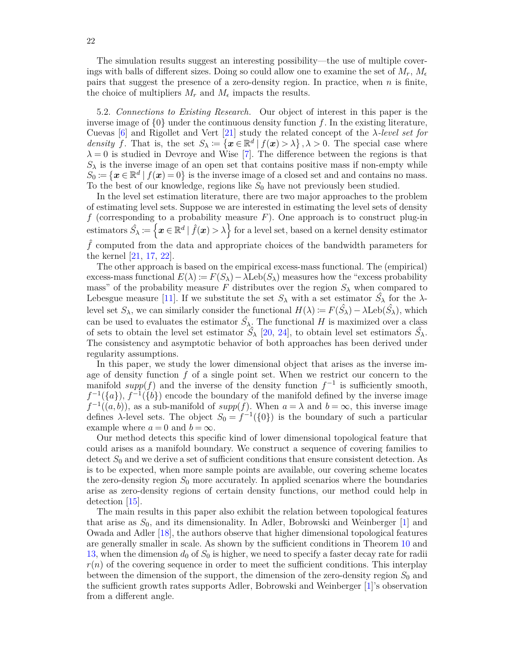The simulation results suggest an interesting possibility—the use of multiple coverings with balls of different sizes. Doing so could allow one to examine the set of  $M_r$ ,  $M_\epsilon$ pairs that suggest the presence of a zero-density region. In practice, when *n* is finite, the choice of multipliers  $M_r$  and  $M_\epsilon$  impacts the results.

5.2. *Connections to Existing Research.* Our object of interest in this paper is the inverse image of  $\{0\}$  under the continuous density function f. In the existing literature, Cuevas [\[6\]](#page-27-12) and Rigollet and Vert [\[21\]](#page-27-13) study the related concept of the *λ-level set for density f*. That is, the set  $S_\lambda := \{x \in \mathbb{R}^d \mid f(x) > \lambda\}, \lambda > 0$ . The special case where  $\lambda = 0$  is studied in Devroye and Wise [\[7\]](#page-27-14). The difference between the regions is that  $S_{\lambda}$  is the inverse image of an open set that contains positive mass if non-empty while  $S_0 := \{ \mathbf{x} \in \mathbb{R}^d \mid f(\mathbf{x}) = 0 \}$  is the inverse image of a closed set and and contains no mass. To the best of our knowledge, regions like  $S_0$  have not previously been studied.

In the level set estimation literature, there are two major approaches to the problem of estimating level sets. Suppose we are interested in estimating the level sets of density *f* (corresponding to a probability measure *F*). One approach is to construct plug-in  $\text{estimators } \hat{S}_{\lambda} \coloneqq \left\{ \boldsymbol{x} \in \mathbb{R}^d \mid \hat{f}(\boldsymbol{x}) > \lambda \right\}$  for a level set, based on a kernel density estimator  $\hat{f}$  computed from the data and appropriate choices of the bandwidth parameters for the kernel [\[21,](#page-27-13) [17,](#page-27-15) [22\]](#page-27-16).

The other approach is based on the empirical excess-mass functional. The (empirical) excess-mass functional  $E(\lambda) := F(S_{\lambda}) - \lambda \text{Leb}(S_{\lambda})$  measures how the "excess probability mass" of the probability measure *F* distributes over the region  $S_\lambda$  when compared to Lebesgue measure [\[11\]](#page-27-17). If we substitute the set  $S_\lambda$  with a set estimator  $\hat{S}_\lambda$  for the  $\lambda$ level set  $S_\lambda$ , we can similarly consider the functional  $H(\lambda) \coloneqq F(\hat{S}_\lambda) - \lambda \text{Leb}(\hat{S}_\lambda)$ , which can be used to evaluates the estimator  $\hat{S}_{\lambda}$ . The functional *H* is maximized over a class of sets to obtain the level set estimator  $\hat{S}_{\lambda}$  [\[20,](#page-27-18) [24\]](#page-27-19), to obtain level set estimators  $\hat{S}_{\lambda}$ . The consistency and asymptotic behavior of both approaches has been derived under regularity assumptions.

In this paper, we study the lower dimensional object that arises as the inverse image of density function *f* of a single point set. When we restrict our concern to the manifold  $supp(f)$  and the inverse of the density function  $f^{-1}$  is sufficiently smooth,  $f^{-1}(\lbrace a \rbrace), f^{-1}(\lbrace b \rbrace)$  encode the boundary of the manifold defined by the inverse image  $f^{-1}((a, b))$ , as a sub-manifold of *supp*(*f*). When  $a = \lambda$  and  $b = \infty$ , this inverse image defines  $\lambda$ -level sets. The object  $S_0 = f^{-1}(\{0\})$  is the boundary of such a particular example where  $a = 0$  and  $b = \infty$ .

Our method detects this specific kind of lower dimensional topological feature that could arises as a manifold boundary. We construct a sequence of covering families to detect  $S_0$  and we derive a set of sufficient conditions that ensure consistent detection. As is to be expected, when more sample points are available, our covering scheme locates the zero-density region  $S_0$  more accurately. In applied scenarios where the boundaries arise as zero-density regions of certain density functions, our method could help in detection [\[15\]](#page-27-20).

The main results in this paper also exhibit the relation between topological features that arise as  $S_0$ , and its dimensionality. In Adler, Bobrowski and Weinberger  $[1]$  and Owada and Adler [\[18\]](#page-27-22), the authors observe that higher dimensional topological features are generally smaller in scale. As shown by the sufficient conditions in Theorem [10](#page-10-0) and [13,](#page-13-0) when the dimension *d*<sup>0</sup> of *S*<sup>0</sup> is higher, we need to specify a faster decay rate for radii  $r(n)$  of the covering sequence in order to meet the sufficient conditions. This interplay between the dimension of the support, the dimension of the zero-density region  $S_0$  and the sufficient growth rates supports Adler, Bobrowski and Weinberger [\[1\]](#page-27-21)'s observation from a different angle.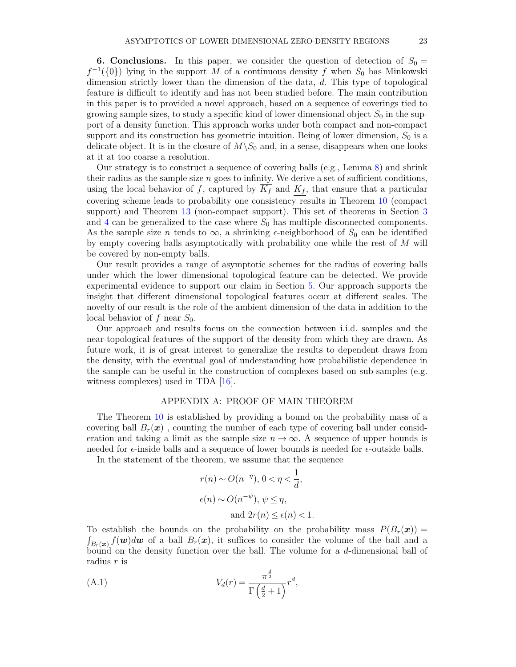<span id="page-22-0"></span>**6. Conclusions.** In this paper, we consider the question of detection of  $S_0 =$  $f^{-1}(\{0\})$  lying in the support *M* of a continuous density *f* when  $S_0$  has Minkowski dimension strictly lower than the dimension of the data, *d*. This type of topological feature is difficult to identify and has not been studied before. The main contribution in this paper is to provided a novel approach, based on a sequence of coverings tied to growing sample sizes, to study a specific kind of lower dimensional object  $S_0$  in the support of a density function. This approach works under both compact and non-compact support and its construction has geometric intuition. Being of lower dimension,  $S_0$  is a delicate object. It is in the closure of  $M\setminus S_0$  and, in a sense, disappears when one looks at it at too coarse a resolution.

Our strategy is to construct a sequence of covering balls (e.g., Lemma [8\)](#page-7-3) and shrink their radius as the sample size *n* goes to infinity. We derive a set of sufficient conditions, using the local behavior of *f*, captured by  $\overline{K_f}$  and  $K_f$ , that ensure that a particular covering scheme leads to probability one consistency results in Theorem [10](#page-10-0) (compact support) and Theorem [13](#page-13-0) (non-compact support). This set of theorems in Section [3](#page-3-0) and [4](#page-11-0) can be generalized to the case where  $S_0$  has multiple disconnected components. As the sample size *n* tends to  $\infty$ , a shrinking  $\epsilon$ -neighborhood of  $S_0$  can be identified by empty covering balls asymptotically with probability one while the rest of *M* will be covered by non-empty balls.

Our result provides a range of asymptotic schemes for the radius of covering balls under which the lower dimensional topological feature can be detected. We provide experimental evidence to support our claim in Section [5.](#page-19-0) Our approach supports the insight that different dimensional topological features occur at different scales. The novelty of our result is the role of the ambient dimension of the data in addition to the local behavior of *f* near *S*0.

Our approach and results focus on the connection between i.i.d. samples and the near-topological features of the support of the density from which they are drawn. As future work, it is of great interest to generalize the results to dependent draws from the density, with the eventual goal of understanding how probabilistic dependence in the sample can be useful in the construction of complexes based on sub-samples (e.g. witness complexes) used in TDA [\[16\]](#page-27-23).

## APPENDIX A: PROOF OF MAIN THEOREM

The Theorem [10](#page-10-0) is established by providing a bound on the probability mass of a covering ball  $B_r(x)$ , counting the number of each type of covering ball under consideration and taking a limit as the sample size  $n \to \infty$ . A sequence of upper bounds is needed for  $\epsilon$ -inside balls and a sequence of lower bounds is needed for  $\epsilon$ -outside balls.

In the statement of the theorem, we assume that the sequence

$$
r(n) \sim O(n^{-\eta}), 0 < \eta < \frac{1}{d},
$$
  

$$
\epsilon(n) \sim O(n^{-\psi}), \psi \leq \eta,
$$
  
and 
$$
2r(n) \leq \epsilon(n) < 1.
$$

To establish the bounds on the probability on the probability mass  $P(B_r(x)) =$  $\int_{B_r(\boldsymbol{x})} f(\boldsymbol{w}) d\boldsymbol{w}$  of a ball  $B_r(\boldsymbol{x})$ , it suffices to consider the volume of the ball and a bound on the density function over the ball. The volume for a *d*-dimensional ball of radius *r* is

<span id="page-22-1"></span>(A.1) 
$$
V_d(r) = \frac{\pi^{\frac{d}{2}}}{\Gamma(\frac{d}{2}+1)} r^d,
$$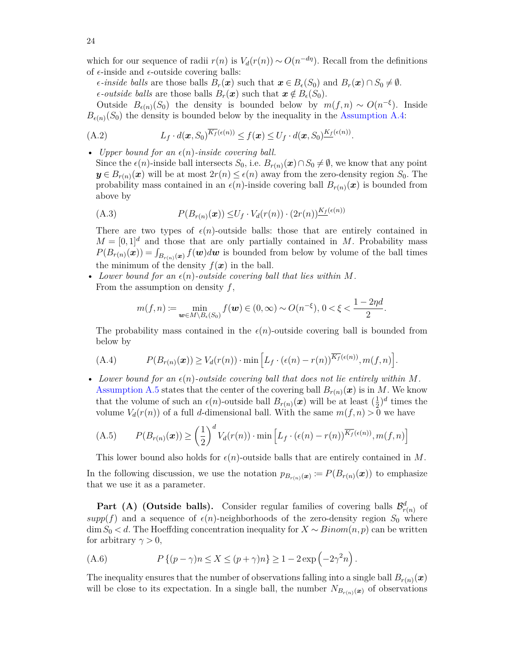which for our sequence of radii  $r(n)$  is  $V_d(r(n)) \sim O(n^{-d\eta})$ . Recall from the definitions of  $\epsilon$ -inside and  $\epsilon$ -outside covering balls:

 $\epsilon$ *-inside balls* are those balls  $B_r(\mathbf{x})$  such that  $\mathbf{x} \in B_{\epsilon}(S_0)$  and  $B_r(\mathbf{x}) \cap S_0 \neq \emptyset$ .  $\epsilon$ -*outside balls* are those balls  $B_r(\boldsymbol{x})$  such that  $\boldsymbol{x} \notin B_{\epsilon}(S_0)$ .

Outside  $B_{\epsilon(n)}(S_0)$  the density is bounded below by  $m(f, n) \sim O(n^{-\xi})$ . Inside  $B_{\epsilon(n)}(S_0)$  the density is bounded below by the inequality in the [Assumption A.4:](#page-7-4)

<span id="page-23-3"></span>(A.2) 
$$
L_f \cdot d(\boldsymbol{x}, S_0)^{\overline{K_f}(\epsilon(n))} \leq f(\boldsymbol{x}) \leq U_f \cdot d(\boldsymbol{x}, S_0)^{\underline{K_f}(\epsilon(n))}.
$$

• *Upper bound for an*  $\epsilon(n)$ -inside covering ball.

Since the  $\epsilon(n)$ -inside ball intersects *S*<sub>0</sub>, i.e.  $B_{r(n)}(x) \cap S_0 \neq \emptyset$ , we know that any point  $y \in B_{r(n)}(x)$  will be at most  $2r(n) \leq \epsilon(n)$  away from the zero-density region  $S_0$ . The probability mass contained in an  $\epsilon(n)$ -inside covering ball  $B_{r(n)}(x)$  is bounded from above by

(A.3) 
$$
P(B_{r(n)}(\boldsymbol{x})) \leq U_f \cdot V_d(r(n)) \cdot (2r(n))^{\underline{K_f}(\epsilon(n))}
$$

There are two types of  $\epsilon(n)$ -outside balls: those that are entirely contained in  $M = [0, 1]^d$  and those that are only partially contained in *M*. Probability mass  $P(B_{r(n)}(\boldsymbol{x})) = \int_{B_{r(n)}(\boldsymbol{x})} f(\boldsymbol{w}) d\boldsymbol{w}$  is bounded from below by volume of the ball times the minimum of the density  $f(x)$  in the ball.

• Lower bound for an  $\epsilon(n)$ -outside covering ball that lies within M. From the assumption on density *f*,

$$
m(f, n) := \min_{\mathbf{w} \in M \setminus B_{\epsilon}(S_0)} f(\mathbf{w}) \in (0, \infty) \sim O(n^{-\xi}), \, 0 < \xi < \frac{1 - 2\eta d}{2}.
$$

The probability mass contained in the  $\epsilon(n)$ -outside covering ball is bounded from below by

<span id="page-23-1"></span>(A.4) 
$$
P(B_{r(n)}(\boldsymbol{x})) \geq V_d(r(n)) \cdot \min \left[L_f \cdot (\epsilon(n) - r(n))^{\overline{K_f}(\epsilon(n))}, m(f, n)\right].
$$

• Lower bound for an  $\epsilon(n)$ -outside covering ball that does not lie entirely within M. [Assumption A.5](#page-7-4) states that the center of the covering ball  $B_{r(n)}(x)$  is in M. We know that the volume of such an  $\epsilon(n)$ -outside ball  $B_{r(n)}(x)$  will be at least  $(\frac{1}{2})$  $(\frac{1}{2})^d$  times the volume  $V_d(r(n))$  of a full *d*-dimensional ball. With the same  $m(f, n) > 0$  we have

<span id="page-23-2"></span>(A.5) 
$$
P(B_{r(n)}(\boldsymbol{x})) \geq \left(\frac{1}{2}\right)^d V_d(r(n)) \cdot \min\left[L_f \cdot (\epsilon(n) - r(n))^{\overline{K_f}(\epsilon(n))}, m(f, n)\right]
$$

This lower bound also holds for  $\epsilon(n)$ -outside balls that are entirely contained in M.

In the following discussion, we use the notation  $p_{B_{r(n)}(x)} := P(B_{r(n)}(x))$  to emphasize that we use it as a parameter.

**Part (A) (Outside balls).** Consider regular families of covering balls  $\mathcal{B}^d_{r(n)}$  of  $supp(f)$  and a sequence of  $\epsilon(n)$ -neighborhoods of the zero-density region  $S_0$  where  $\dim S_0 < d$ . The Hoeffding concentration inequality for  $X \sim Binom(n, p)$  can be written for arbitrary  $\gamma > 0$ ,

<span id="page-23-0"></span>(A.6) 
$$
P\left\{(p-\gamma)n\leq X\leq (p+\gamma)n\right\}\geq 1-2\exp\left(-2\gamma^2n\right).
$$

The inequality ensures that the number of observations falling into a single ball  $B_{r(n)}(x)$ will be close to its expectation. In a single ball, the number  $N_{B_{r(n)}(x)}$  of observations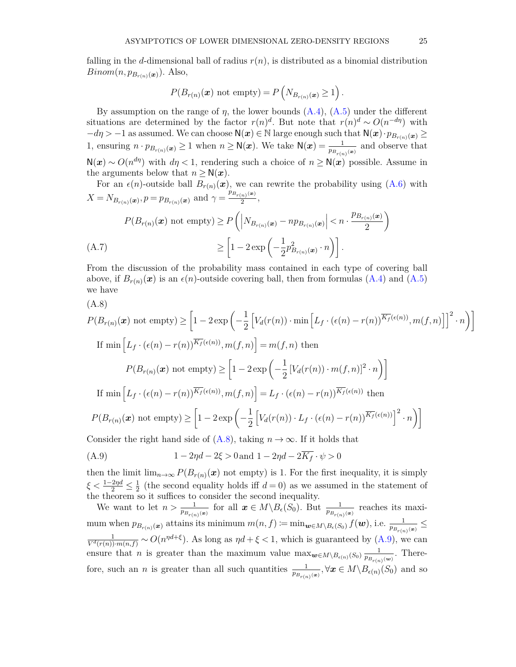falling in the *d*-dimensional ball of radius  $r(n)$ , is distributed as a binomial distribution *Binom* $(n, p_{B_{r(n)}(x)})$ . Also,

$$
P(B_{r(n)}(\boldsymbol{x}) \text{ not empty}) = P(N_{B_{r(n)}(\boldsymbol{x})} \ge 1).
$$

By assumption on the range of  $\eta$ , the lower bounds  $(A.4)$ ,  $(A.5)$  under the different situations are determined by the factor  $r(n)^d$ . But note that  $r(n)^d \sim O(n^{-d\eta})$  with  $-d\eta > -1$  as assumed. We can choose  $\mathsf{N}(x) \in \mathbb{N}$  large enough such that  $\mathsf{N}(x) \cdot p_{B_{r(n)}}(x) \geq$ 1, ensuring  $n \cdot p_{B_{r(n)}}(\mathbf{x}) \ge 1$  when  $n \ge N(\mathbf{x})$ . We take  $N(\mathbf{x}) = \frac{1}{p_{B_{r(n)}}(\mathbf{x})}$  and observe that  $N(x) \sim O(n^{d\eta})$  with  $d\eta < 1$ , rendering such a choice of  $n \geq N(x)$  possible. Assume in the arguments below that  $n \geq N(x)$ .

For an  $\epsilon(n)$ -outside ball  $B_{r(n)}(x)$ , we can rewrite the probability using  $(A.6)$  with  $X = N_{B_{r(n)}(\mathbf{x})}, p = p_{B_{r(n)}(\mathbf{x})}$  and  $\gamma = \frac{p_{B_{r(n)}(\mathbf{x})}}{2}$  $\frac{(n)^{(\omega)}}{2},$ 

<span id="page-24-2"></span>
$$
P(B_{r(n)}(\boldsymbol{x}) \text{ not empty}) \ge P\left(\left|N_{B_{r(n)}(\boldsymbol{x})} - np_{B_{r(n)}(\boldsymbol{x})}\right| < n \cdot \frac{p_{B_{r(n)}(\boldsymbol{x})}}{2}\right)
$$
\n
$$
\ge \left[1 - 2\exp\left(-\frac{1}{2}p_{B_{r(n)}(\boldsymbol{x})}^2 \cdot n\right)\right].
$$

From the discussion of the probability mass contained in each type of covering ball above, if  $B_{r(n)}(x)$  is an  $\epsilon(n)$ -outside covering ball, then from formulas [\(A.4\)](#page-23-1) and [\(A.5\)](#page-23-2) we have

<span id="page-24-0"></span>
$$
(\mathrm{A.8})
$$

$$
P(B_{r(n)}(\boldsymbol{x}) \text{ not empty}) \geq \left[1 - 2\exp\left(-\frac{1}{2}\left[V_d(r(n)) \cdot \min\left[L_f \cdot (\epsilon(n) - r(n))^{\overline{K_f}(\epsilon(n))}, m(f, n)\right]\right]^2 \cdot n\right)\right]
$$
  
If  $\min\left[L_f \cdot (\epsilon(n) - r(n))^{\overline{K_f}(\epsilon(n))}, m(f, n)\right] = m(f, n)$  then  

$$
P(B_{r(n)}(\boldsymbol{x}) \text{ not empty}) \geq \left[1 - 2\exp\left(-\frac{1}{2}\left[V_d(r(n)) \cdot m(f, n)\right]^2 \cdot n\right)\right]
$$
  
If  $\min\left[L_f \cdot (\epsilon(n) - r(n))^{\overline{K_f}(\epsilon(n))}, m(f, n)\right] = L_f \cdot (\epsilon(n) - r(n))^{\overline{K_f}(\epsilon(n))}$  then  

$$
P(B_{r(n)}(\boldsymbol{x}) \text{ not empty}) \geq \left[1 - 2\exp\left(-\frac{1}{2}\left[V_d(r(n)) \cdot L_f \cdot (\epsilon(n) - r(n))^{\overline{K_f}(\epsilon(n))}\right]^2 \cdot n\right)\right]
$$
  
Consider the right hand side of (A.8), taking  $n \to \infty$ . If it holds that

<span id="page-24-1"></span>(A.9) 
$$
1 - 2\eta d - 2\xi > 0 \text{ and } 1 - 2\eta d - 2\overline{K_f} \cdot \psi > 0
$$

then the limit  $\lim_{n\to\infty} P(B_{r(n)}(x))$  not empty) is 1. For the first inequality, it is simply  $\xi < \frac{1-2\eta d}{2} \leq \frac{1}{2}$  $\frac{1}{2}$  (the second equality holds iff  $d = 0$ ) as we assumed in the statement of the theorem so it suffices to consider the second inequality.

We want to let  $n > \frac{1}{p_{B_r(n)}(x)}$  for all  $x \in M \setminus B_\epsilon(S_0)$ . But  $\frac{1}{p_{B_r(n)}(x)}$  reaches its maxi $m$  mum when  $p_{B_{r(n)}(\boldsymbol{x})}$  attains its minimum  $m(n, f) := \min_{\boldsymbol{w} \in M \setminus B_{\epsilon}(S_0)} f(\boldsymbol{w})$ , i.e.  $\frac{1}{p_{B_{r(n)}(\boldsymbol{x})}} \leq$  $\frac{1}{V^d(r(n)) \cdot m(n,f)} \sim O(n^{\eta d + \xi})$ . As long as  $\eta d + \xi < 1$ , which is guaranteed by [\(A.9\)](#page-24-1), we can ensure that *n* is greater than the maximum value  $\max_{\mathbf{w}\in M\setminus B_{\epsilon(n)}(S_0)}\frac{1}{p_{B_{\epsilon(n)}}}$  $\frac{1}{p_{B_{r(n)}(w)}}$ . Therefore, such an *n* is greater than all such quantities  $\frac{1}{p_{B_{r(n)}(x)}}, \forall x \in M \setminus B_{\epsilon(n)}(S_0)$  and so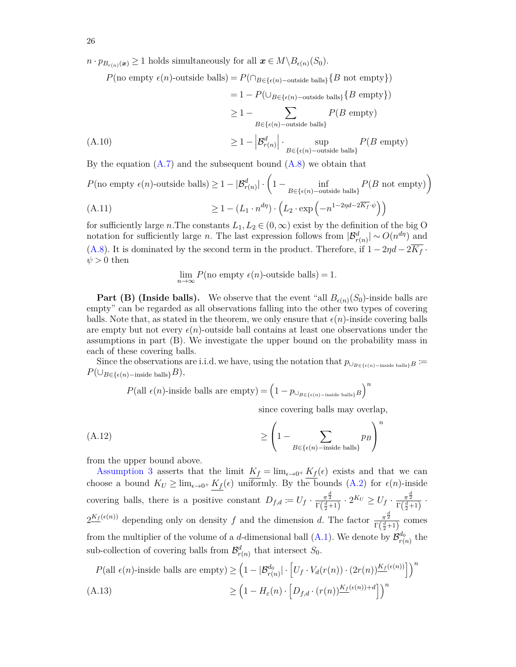$n \cdot p_{B_{r(n)}(x)} \geq 1$  holds simultaneously for all  $x \in M \setminus B_{\epsilon(n)}(S_0)$ .

 $P(\text{no empty } \epsilon(n)$ -outside balls) =  $P(\bigcap_{B \in {\{\epsilon(n)-\text{outside balls}\}}} \{B \text{ not empty}\})$  $= 1 - P(\bigcup_{B \in \{\epsilon(n)-\text{outside balls}\}} \{B \text{ empty}\})$  $\geq 1 - \sum$ *B*∈{ $\epsilon$ (*n*)−outside balls} *P*(*B* empty)  $\geq 1 - \left| \mathcal{B}^{d}_{r(n)} \right| \cdot \sup_{B \in \{\epsilon(n)-\text{outside balls}\}}$  $\geq 1 - |\mathcal{B}_{r(n)}^d|$  sup  $P(B \text{ empty})$ 

By the equation  $(A.7)$  and the subsequent bound  $(A.8)$  we obtain that

$$
P(\text{no empty } \epsilon(n)\text{-outside balls}) \ge 1 - |\mathcal{B}_{r(n)}^d| \cdot \left(1 - \inf_{B \in \{\epsilon(n)\text{-outside balls}\}} P(B \text{ not empty})\right)
$$
  
(A.11) 
$$
\ge 1 - (L_1 \cdot n^{d\eta}) \cdot \left(L_2 \cdot \exp\left(-n^{1-2\eta d - 2\overline{K_f} \cdot \psi}\right)\right)
$$

for sufficiently large *n*. The constants  $L_1, L_2 \in (0, \infty)$  exist by the definition of the big O notation for sufficiently large *n*. The last expression follows from  $|\mathcal{B}_{r(n)}^d| \sim O(n^{d\eta})$  and [\(A.8\)](#page-24-0). It is dominated by the second term in the product. Therefore, if  $1 - 2\eta d - 2\overline{K_f}$ .  $\psi > 0$  then

$$
\lim_{n \to \infty} P(\text{no empty } \epsilon(n)\text{-outside balls}) = 1.
$$

**Part (B) (Inside balls).** We observe that the event "all  $B_{\epsilon(n)}(S_0)$ -inside balls are empty" can be regarded as all observations falling into the other two types of covering balls. Note that, as stated in the theorem, we only ensure that  $\epsilon(n)$ -inside covering balls are empty but not every  $\epsilon(n)$ -outside ball contains at least one observations under the assumptions in part (B). We investigate the upper bound on the probability mass in each of these covering balls.

Since the observations are i.i.d. we have, using the notation that  $p_{\cup_{B \in {\{\epsilon(n) - \text{inside balls}\}}}B}$  :=  $P(\cup_{B \in {\{\epsilon(n) - \text{inside balls}\}}}B)$ ,

 $P(\text{all } \epsilon(n)$ -inside balls are empty) =  $\left(1 - p_{\cup_{B \in {\{\epsilon(n) - \text{inside balls}\}}}B}\right)^n$ 

since covering balls may overlap,

(A.12) 
$$
\geq \left(1 - \sum_{B \in \{\epsilon(n) - \text{inside balls}\}} p_B\right)^n
$$

from the upper bound above.

[Assumption 3](#page-7-4) asserts that the limit  $K_f = \lim_{\epsilon \to 0^+} K_f(\epsilon)$  exists and that we can choose a bound  $K_U \geq \lim_{\epsilon \to 0^+} \underline{K_f}(\epsilon)$  uniformly. By the bounds [\(A.2\)](#page-23-3) for  $\epsilon(n)$ -inside covering balls, there is a positive constant  $D_{f,d} := U_f \cdot \frac{\pi^{\frac{d}{2}}}{\Gamma(\frac{d}{2}+1)} \cdot 2^{K_U} \ge U_f \cdot \frac{\pi^{\frac{d}{2}}}{\Gamma(\frac{d}{2}+1)}$ .  $2^{\underline{K_f}(\epsilon(n))}$  depending only on density *f* and the dimension *d*. The factor  $\frac{\pi^{\frac{d}{2}}}{\Gamma(\frac{d}{2}+1)}$  comes from the multiplier of the volume of a *d*-dimensional ball  $(A.1)$ . We denote by  $\mathcal{B}_{r(n)}^{d_0}$  the sub-collection of covering balls from  $\mathcal{B}^d_{r(n)}$  that intersect  $S_0$ .

<span id="page-25-0"></span>
$$
P(\text{all } \epsilon(n)\text{-inside balls are empty}) \ge \left(1 - |\mathcal{B}_{r(n)}^{d_0}| \cdot \left[U_f \cdot V_d(r(n)) \cdot (2r(n)) \frac{K_f(\epsilon(n))}{\epsilon}\right]\right)^n
$$
  
(A.13) 
$$
\ge \left(1 - H_{\epsilon}(n) \cdot \left[D_{f,d} \cdot (r(n)) \frac{K_f(\epsilon(n)) + d}{\epsilon}\right]\right)^n
$$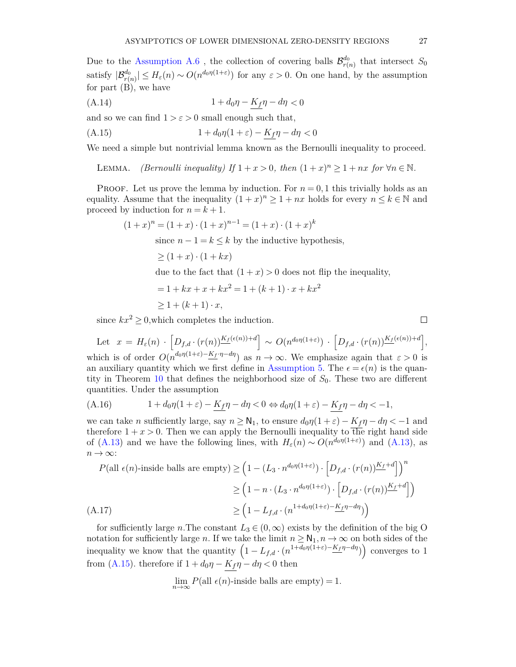Due to the [Assumption A.6](#page-7-5), the collection of covering balls  $\mathcal{B}^{d_0}_{r(n)}$  that intersect  $S_0$ satisfy  $|\mathcal{B}_{r(n)}^{d_0}| \leq H_{\varepsilon}(n) \sim O(n^{d_0 \eta(1+\varepsilon)})$  for any  $\varepsilon > 0$ . On one hand, by the assumption for part (B), we have

$$
(A.14) \t\t 1 + d_0 \eta - K_f \eta - d\eta < 0
$$

<span id="page-26-0"></span>and so we can find  $1 > \varepsilon > 0$  small enough such that,

$$
(A.15) \t\t 1 + d_0 \eta (1 + \varepsilon) - K_f \eta - d\eta < 0
$$

We need a simple but nontrivial lemma known as the Bernoulli inequality to proceed.

LEMMA. *(Bernoulli inequality)* If  $1 + x > 0$ , then  $(1 + x)^n \ge 1 + nx$  for  $\forall n \in \mathbb{N}$ .

**PROOF.** Let us prove the lemma by induction. For  $n = 0, 1$  this trivially holds as an equality. Assume that the inequality  $(1 + x)^n \ge 1 + nx$  holds for every  $n \le k \in \mathbb{N}$  and proceed by induction for  $n = k + 1$ .

$$
(1+x)^n = (1+x) \cdot (1+x)^{n-1} = (1+x) \cdot (1+x)^k
$$

since  $n - 1 = k \leq k$  by the inductive hypothesis,

$$
\geq (1+x) \cdot (1+ kx)
$$

due to the fact that  $(1 + x) > 0$  does not flip the inequality,

$$
= 1 + kx + x + kx2 = 1 + (k + 1) \cdot x + kx2
$$

$$
\geq 1 + (k+1) \cdot x,
$$

since  $kx^2 \geq 0$ , which completes the induction.

Let  $x = H_{\varepsilon}(n) \cdot \left[ D_{f,d} \cdot (r(n)) \frac{K_f(\varepsilon(n)) + d}{\varepsilon} \right] \sim O(n^{d_0 \eta(1+\varepsilon)}) \cdot \left[ D_{f,d} \cdot (r(n)) \frac{K_f(\varepsilon(n)) + d}{\varepsilon} \right],$ which is of order  $O(n^{d_0\eta(1+\varepsilon)-K_f\cdot\eta-d\eta})$  as  $n\to\infty$ . We emphasize again that  $\varepsilon>0$  is an auxiliary quantity which we first define in [Assumption 5.](#page-7-5) The  $\epsilon = \epsilon(n)$  is the quantity in Theorem [10](#page-10-0) that defines the neighborhood size of *S*0. These two are different quantities. Under the assumption

(A.16) 
$$
1 + d_0 \eta (1 + \varepsilon) - \underline{K_f} \eta - d\eta < 0 \Leftrightarrow d_0 \eta (1 + \varepsilon) - \underline{K_f} \eta - d\eta < -1,
$$

we can take *n* sufficiently large, say  $n \geq N_1$ , to ensure  $d_0\eta(1+\varepsilon) - K_f\eta - d\eta < -1$  and therefore  $1 + x > 0$ . Then we can apply the Bernoulli inequality to the right hand side of [\(A.13\)](#page-25-0) and we have the following lines, with  $H_{\varepsilon}(n) \sim O(n^{d_0 \eta(1+\varepsilon)})$  and (A.13), as  $n \to \infty$ :

$$
P(\text{all } \epsilon(n)\text{-inside balls are empty}) \ge \left(1 - (L_3 \cdot n^{d_0 \eta(1+\varepsilon)}) \cdot \left[D_{f,d} \cdot (r(n))\frac{K_f + d}{m}\right]\right)^n
$$
  

$$
\ge \left(1 - n \cdot (L_3 \cdot n^{d_0 \eta(1+\varepsilon)}) \cdot \left[D_{f,d} \cdot (r(n))\frac{K_f + d}{m}\right]\right)
$$
  

$$
\ge \left(1 - L_{f,d} \cdot (n^{1 + d_0 \eta(1+\varepsilon)} - \frac{K_f}{m} - d\eta)\right)
$$

for sufficiently large *n*. The constant  $L_3 \in (0, \infty)$  exists by the definition of the big O notation for sufficiently large *n*. If we take the limit  $n \geq N_1, n \to \infty$  on both sides of the inequality we know that the quantity  $(1 - L_{f,d} \cdot (n^{1+d_0\eta(1+\varepsilon) - K_f\eta - d\eta}))$  converges to 1 from [\(A.15\)](#page-26-0). therefore if  $1 + d_0\eta - K_f\eta - d\eta < 0$  then

$$
\lim_{n \to \infty} P(\text{all } \epsilon(n)
$$
-inside balls are empty) = 1.

 $\Box$